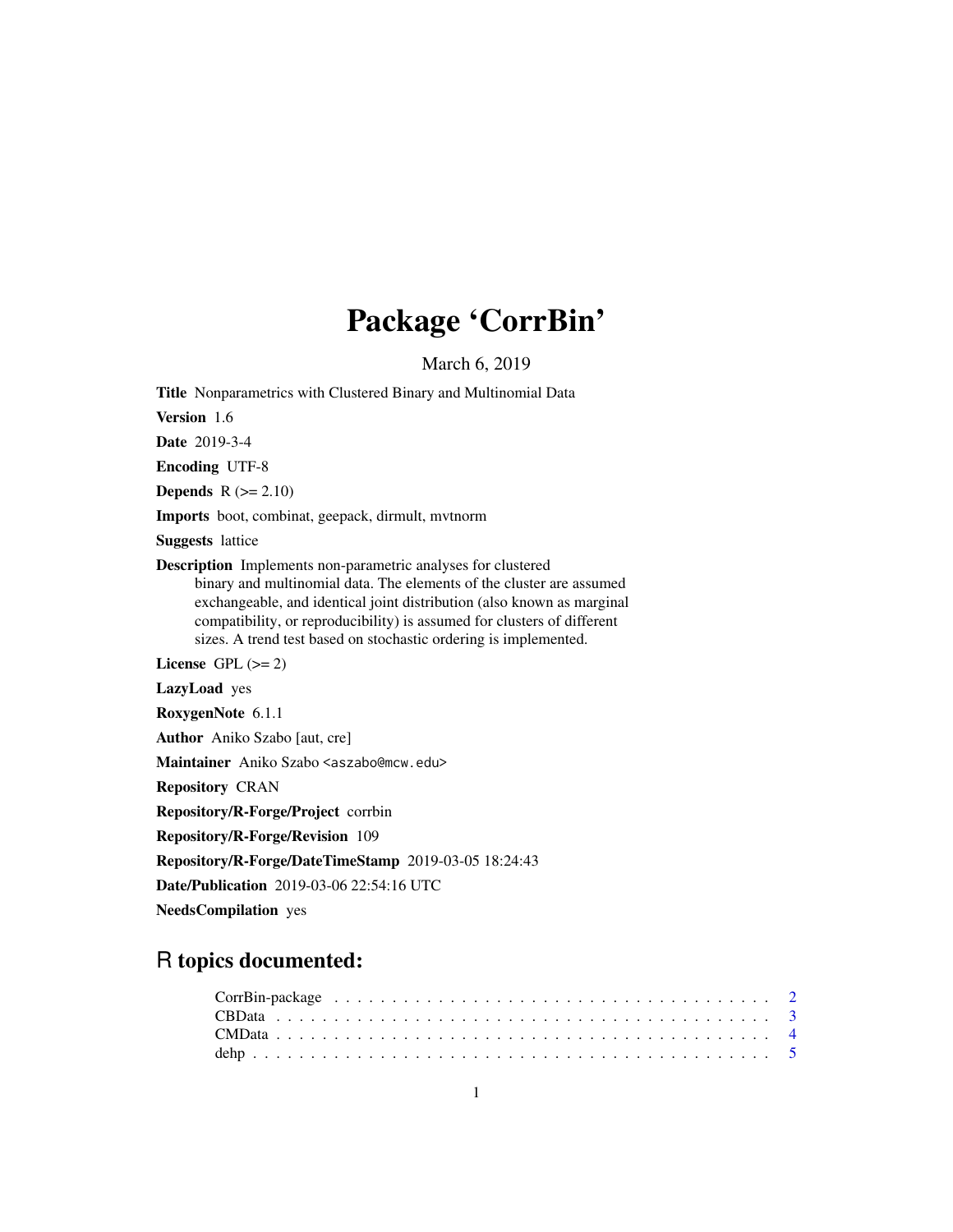# Package 'CorrBin'

March 6, 2019

<span id="page-0-0"></span>Title Nonparametrics with Clustered Binary and Multinomial Data

Version 1.6

Date 2019-3-4

Encoding UTF-8

**Depends**  $R$  ( $>= 2.10$ )

Imports boot, combinat, geepack, dirmult, mvtnorm

Suggests lattice

Description Implements non-parametric analyses for clustered binary and multinomial data. The elements of the cluster are assumed exchangeable, and identical joint distribution (also known as marginal compatibility, or reproducibility) is assumed for clusters of different sizes. A trend test based on stochastic ordering is implemented.

License GPL  $(>= 2)$ 

LazyLoad yes

RoxygenNote 6.1.1

Author Aniko Szabo [aut, cre]

Maintainer Aniko Szabo <aszabo@mcw.edu>

Repository CRAN

Repository/R-Forge/Project corrbin

Repository/R-Forge/Revision 109

Repository/R-Forge/DateTimeStamp 2019-03-05 18:24:43

Date/Publication 2019-03-06 22:54:16 UTC

NeedsCompilation yes

# R topics documented: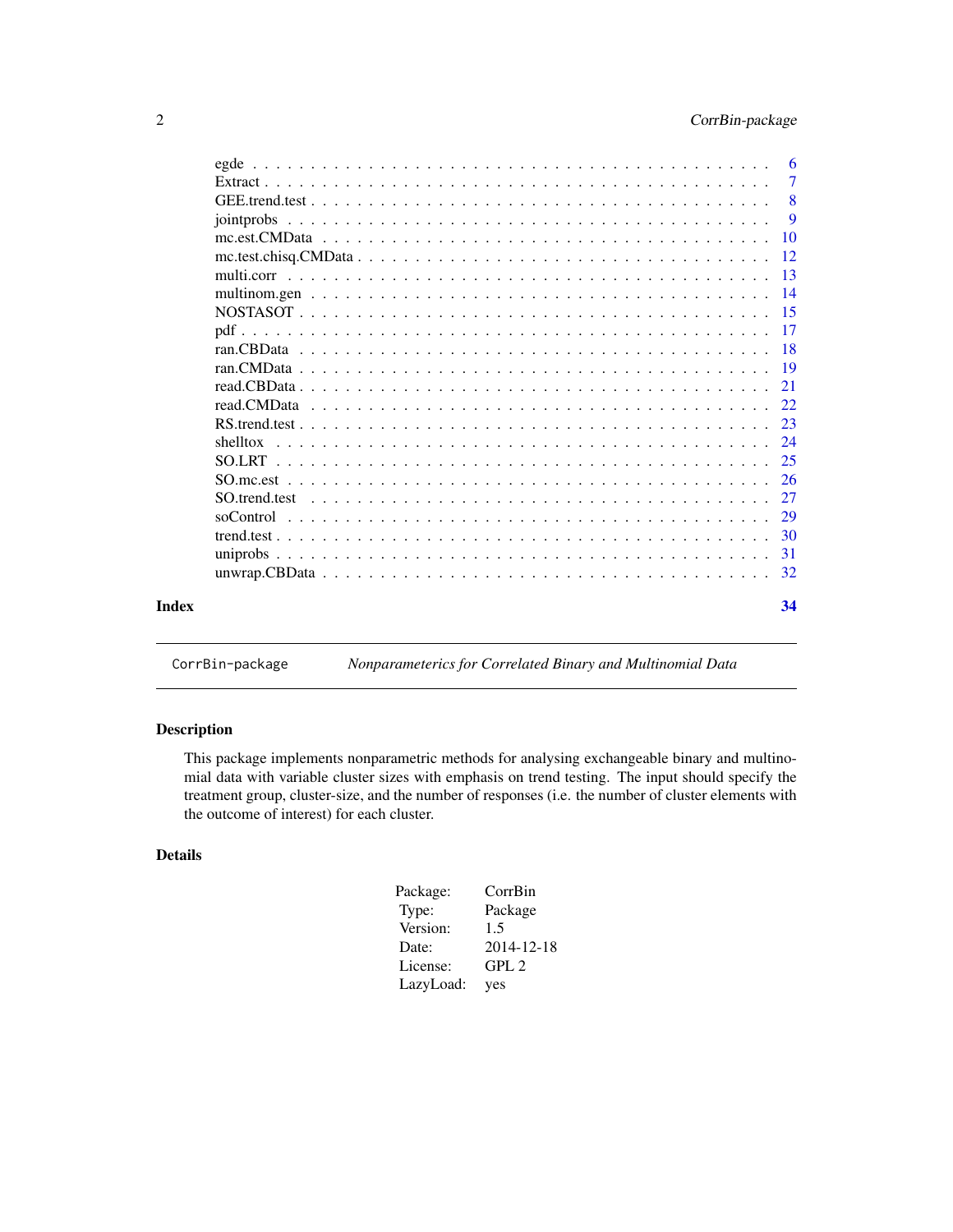<span id="page-1-0"></span>

| Index | 34              |
|-------|-----------------|
|       | 32              |
|       | 31              |
|       | 30              |
|       | 29              |
|       | 27              |
|       | -26             |
|       | 25              |
|       | 24              |
|       |                 |
|       |                 |
|       |                 |
|       |                 |
|       |                 |
|       |                 |
|       |                 |
|       |                 |
|       |                 |
|       | -12             |
|       | $\overline{10}$ |
|       | $\mathbf{Q}$    |
|       | 8               |
|       | $\overline{7}$  |
|       | -6              |

CorrBin-package *Nonparameterics for Correlated Binary and Multinomial Data*

# Description

This package implements nonparametric methods for analysing exchangeable binary and multinomial data with variable cluster sizes with emphasis on trend testing. The input should specify the treatment group, cluster-size, and the number of responses (i.e. the number of cluster elements with the outcome of interest) for each cluster.

# Details

| Package:  | CorrBin          |
|-----------|------------------|
| Type:     | Package          |
| Version:  | 1.5              |
| Date:     | 2014-12-18       |
| License:  | GPL <sub>2</sub> |
| LazyLoad: | yes              |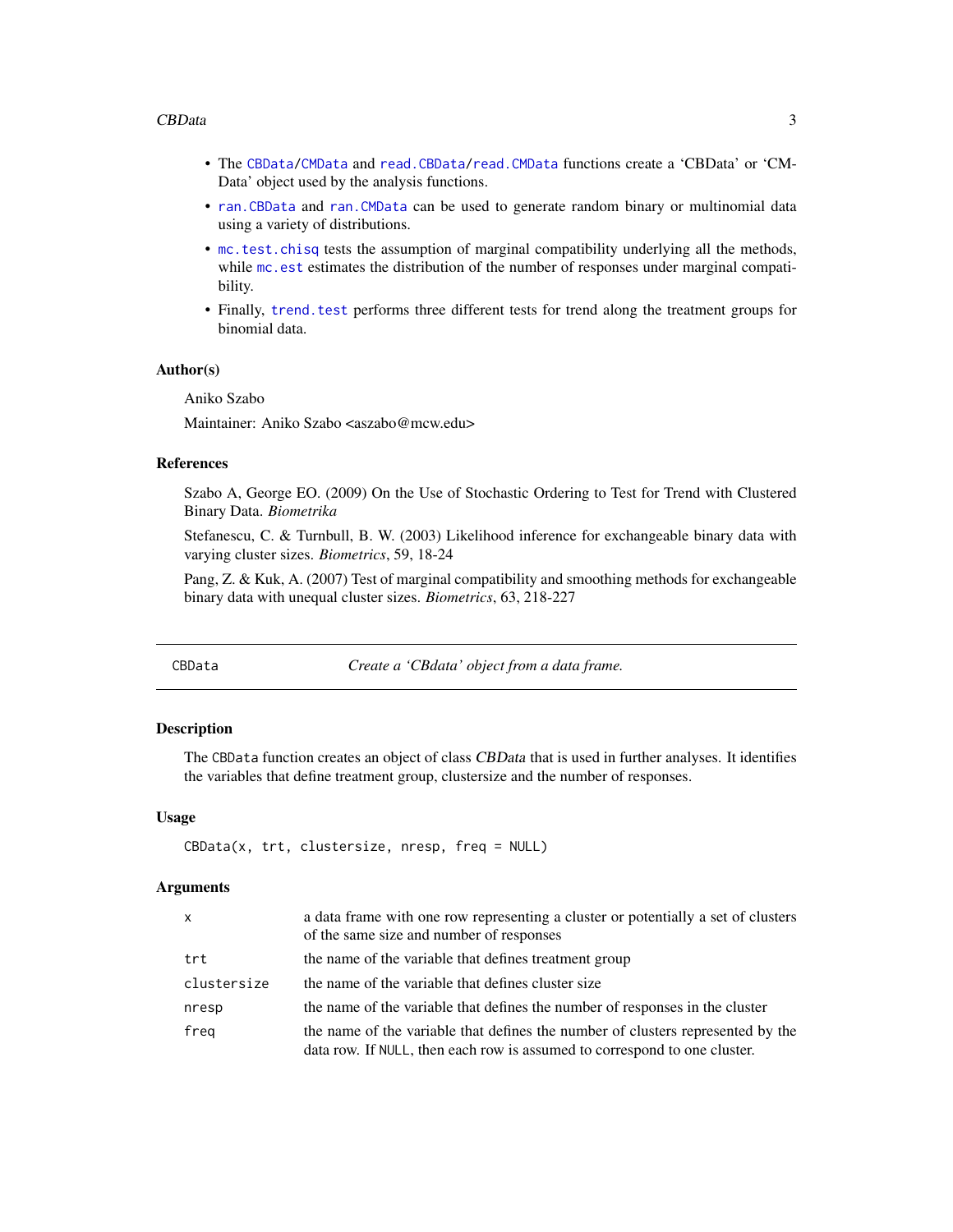#### <span id="page-2-0"></span>CBData 3

- The [CBData/](#page-2-1)[CMData](#page-3-1) and [read.CBData](#page-20-1)[/read.CMData](#page-21-1) functions create a 'CBData' or 'CM-Data' object used by the analysis functions.
- [ran.CBData](#page-17-1) and [ran.CMData](#page-18-1) can be used to generate random binary or multinomial data using a variety of distributions.
- [mc.test.chisq](#page-11-1) tests the assumption of marginal compatibility underlying all the methods, while mc. est estimates the distribution of the number of responses under marginal compatibility.
- Finally, [trend.test](#page-29-1) performs three different tests for trend along the treatment groups for binomial data.

#### Author(s)

Aniko Szabo

Maintainer: Aniko Szabo <aszabo@mcw.edu>

#### References

Szabo A, George EO. (2009) On the Use of Stochastic Ordering to Test for Trend with Clustered Binary Data. *Biometrika*

Stefanescu, C. & Turnbull, B. W. (2003) Likelihood inference for exchangeable binary data with varying cluster sizes. *Biometrics*, 59, 18-24

Pang, Z. & Kuk, A. (2007) Test of marginal compatibility and smoothing methods for exchangeable binary data with unequal cluster sizes. *Biometrics*, 63, 218-227

<span id="page-2-1"></span>CBData *Create a 'CBdata' object from a data frame.*

#### **Description**

The CBData function creates an object of class CBData that is used in further analyses. It identifies the variables that define treatment group, clustersize and the number of responses.

#### Usage

```
CBData(x, trt, clustersize, nresp, freq = NULL)
```

| $\mathsf{x}$ | a data frame with one row representing a cluster or potentially a set of clusters<br>of the same size and number of responses                                |
|--------------|--------------------------------------------------------------------------------------------------------------------------------------------------------------|
| trt          | the name of the variable that defines treatment group                                                                                                        |
| clustersize  | the name of the variable that defines cluster size                                                                                                           |
| nresp        | the name of the variable that defines the number of responses in the cluster                                                                                 |
| freg         | the name of the variable that defines the number of clusters represented by the<br>data row. If NULL, then each row is assumed to correspond to one cluster. |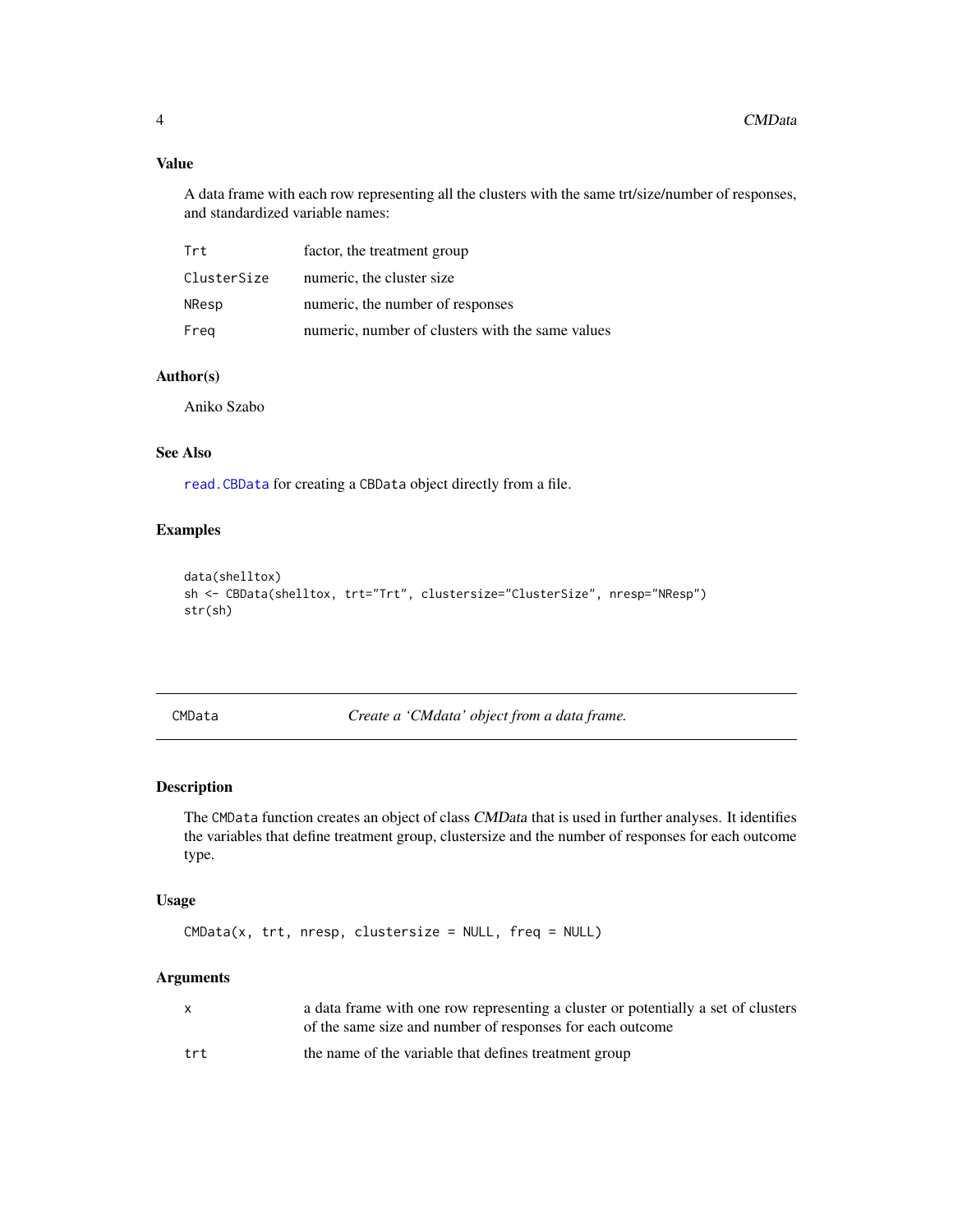# Value

A data frame with each row representing all the clusters with the same trt/size/number of responses, and standardized variable names:

| Trt         | factor, the treatment group                      |
|-------------|--------------------------------------------------|
| ClusterSize | numeric, the cluster size                        |
| NResp       | numeric, the number of responses                 |
| Freg        | numeric, number of clusters with the same values |

# Author(s)

Aniko Szabo

# See Also

[read.CBData](#page-20-1) for creating a CBData object directly from a file.

# Examples

```
data(shelltox)
sh <- CBData(shelltox, trt="Trt", clustersize="ClusterSize", nresp="NResp")
str(sh)
```
<span id="page-3-1"></span>CMData *Create a 'CMdata' object from a data frame.*

# Description

The CMData function creates an object of class CMData that is used in further analyses. It identifies the variables that define treatment group, clustersize and the number of responses for each outcome type.

# Usage

CMData(x, trt, nresp, clustersize = NULL, freq = NULL)

| X.  | a data frame with one row representing a cluster or potentially a set of clusters<br>of the same size and number of responses for each outcome |
|-----|------------------------------------------------------------------------------------------------------------------------------------------------|
| trt | the name of the variable that defines treatment group                                                                                          |

<span id="page-3-0"></span>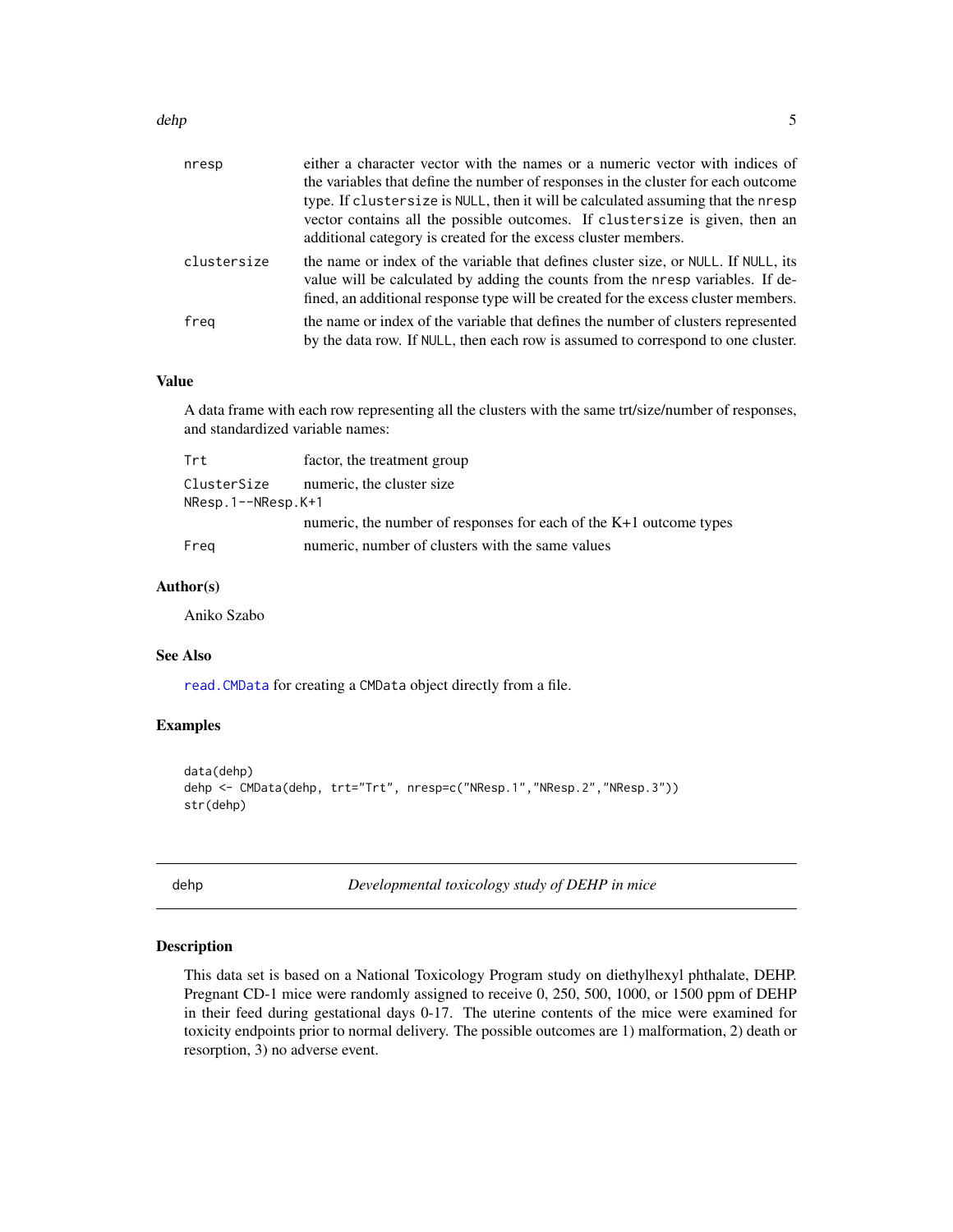<span id="page-4-0"></span>

| nresp       | either a character vector with the names or a numeric vector with indices of<br>the variables that define the number of responses in the cluster for each outcome<br>type. If clustersize is NULL, then it will be calculated assuming that the nresp<br>vector contains all the possible outcomes. If clustersize is given, then an<br>additional category is created for the excess cluster members. |
|-------------|--------------------------------------------------------------------------------------------------------------------------------------------------------------------------------------------------------------------------------------------------------------------------------------------------------------------------------------------------------------------------------------------------------|
| clustersize | the name or index of the variable that defines cluster size, or NULL. If NULL, its<br>value will be calculated by adding the counts from the nresp variables. If de-<br>fined, an additional response type will be created for the excess cluster members.                                                                                                                                             |
| freg        | the name or index of the variable that defines the number of clusters represented<br>by the data row. If NULL, then each row is assumed to correspond to one cluster.                                                                                                                                                                                                                                  |

#### Value

A data frame with each row representing all the clusters with the same trt/size/number of responses, and standardized variable names:

| Trt                       | factor, the treatment group                                          |
|---------------------------|----------------------------------------------------------------------|
| ClusterSize               | numeric, the cluster size                                            |
| $N$ Resp.1-- $N$ Resp.K+1 |                                                                      |
|                           | numeric, the number of responses for each of the $K+1$ outcome types |
| Freg                      | numeric, number of clusters with the same values                     |

#### Author(s)

Aniko Szabo

#### See Also

[read.CMData](#page-21-1) for creating a CMData object directly from a file.

# Examples

```
data(dehp)
dehp <- CMData(dehp, trt="Trt", nresp=c("NResp.1","NResp.2","NResp.3"))
str(dehp)
```
dehp *Developmental toxicology study of DEHP in mice*

# Description

This data set is based on a National Toxicology Program study on diethylhexyl phthalate, DEHP. Pregnant CD-1 mice were randomly assigned to receive 0, 250, 500, 1000, or 1500 ppm of DEHP in their feed during gestational days 0-17. The uterine contents of the mice were examined for toxicity endpoints prior to normal delivery. The possible outcomes are 1) malformation, 2) death or resorption, 3) no adverse event.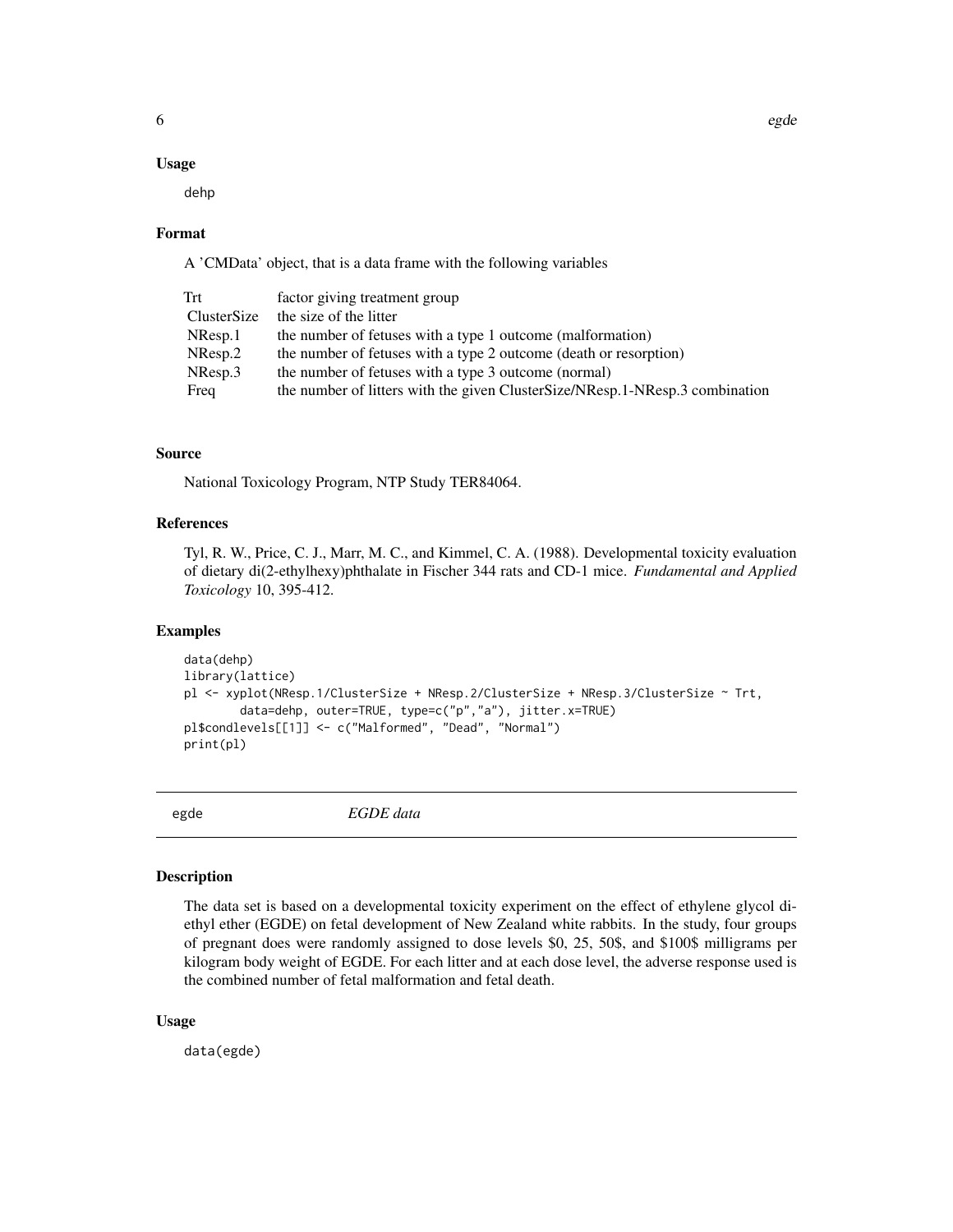#### <span id="page-5-0"></span>Usage

dehp

#### Format

A 'CMData' object, that is a data frame with the following variables

| Trt         | factor giving treatment group                                                |
|-------------|------------------------------------------------------------------------------|
| ClusterSize | the size of the litter                                                       |
| $N$ Resp.1  | the number of fetuses with a type 1 outcome (malformation)                   |
| NResp.2     | the number of fetuses with a type 2 outcome (death or resorption)            |
| NResp.3     | the number of fetuses with a type 3 outcome (normal)                         |
| Freq        | the number of litters with the given ClusterSize/NResp.1-NResp.3 combination |

# Source

National Toxicology Program, NTP Study TER84064.

# References

Tyl, R. W., Price, C. J., Marr, M. C., and Kimmel, C. A. (1988). Developmental toxicity evaluation of dietary di(2-ethylhexy)phthalate in Fischer 344 rats and CD-1 mice. *Fundamental and Applied Toxicology* 10, 395-412.

#### Examples

```
data(dehp)
library(lattice)
pl <- xyplot(NResp.1/ClusterSize + NResp.2/ClusterSize + NResp.3/ClusterSize ~ Trt,
        data=dehp, outer=TRUE, type=c("p","a"), jitter.x=TRUE)
pl$condlevels[[1]] <- c("Malformed", "Dead", "Normal")
print(pl)
```
egde *EGDE data*

#### Description

The data set is based on a developmental toxicity experiment on the effect of ethylene glycol diethyl ether (EGDE) on fetal development of New Zealand white rabbits. In the study, four groups of pregnant does were randomly assigned to dose levels \$0, 25, 50\$, and \$100\$ milligrams per kilogram body weight of EGDE. For each litter and at each dose level, the adverse response used is the combined number of fetal malformation and fetal death.

#### Usage

data(egde)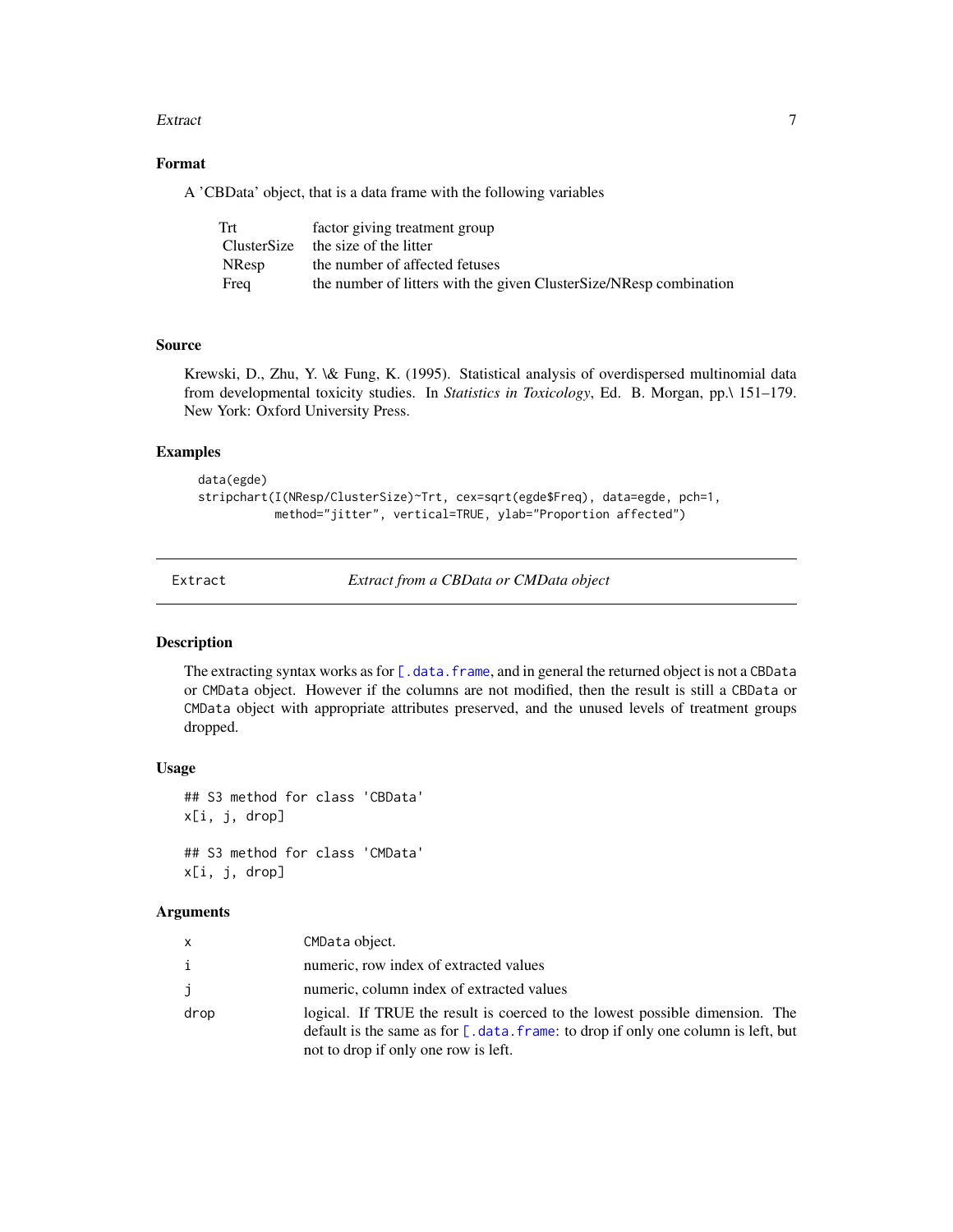#### <span id="page-6-0"></span>Extract 7 and 2008 and 2008 and 2008 and 2008 and 2008 and 2008 and 2008 and 2008 and 2008 and 2008 and 2008 and 2008 and 2008 and 2008 and 2008 and 2008 and 2008 and 2008 and 2008 and 2008 and 2008 and 2008 and 2008 and 2

# Format

A 'CBData' object, that is a data frame with the following variables

| Trt          | factor giving treatment group                                      |
|--------------|--------------------------------------------------------------------|
|              | ClusterSize the size of the litter                                 |
| <b>NResp</b> | the number of affected fetuses                                     |
| Freq         | the number of litters with the given ClusterSize/NResp combination |

#### Source

Krewski, D., Zhu, Y. \& Fung, K. (1995). Statistical analysis of overdispersed multinomial data from developmental toxicity studies. In *Statistics in Toxicology*, Ed. B. Morgan, pp.\ 151–179. New York: Oxford University Press.

# Examples

```
data(egde)
stripchart(I(NResp/ClusterSize)~Trt, cex=sqrt(egde$Freq), data=egde, pch=1,
           method="jitter", vertical=TRUE, ylab="Proportion affected")
```
Extract *Extract from a CBData or CMData object*

# Description

The extracting syntax works as for [\[.data.frame](#page-0-0), and in general the returned object is not a CBData or CMData object. However if the columns are not modified, then the result is still a CBData or CMData object with appropriate attributes preserved, and the unused levels of treatment groups dropped.

# Usage

```
## S3 method for class 'CBData'
x[i, j, drop]
## S3 method for class 'CMData'
```
x[i, j, drop]

| x    | CMData object.                                                                                                                                                                                                |
|------|---------------------------------------------------------------------------------------------------------------------------------------------------------------------------------------------------------------|
| i    | numeric, row index of extracted values                                                                                                                                                                        |
| j    | numeric, column index of extracted values                                                                                                                                                                     |
| drop | logical. If TRUE the result is coerced to the lowest possible dimension. The<br>default is the same as for $[$ . data. frame: to drop if only one column is left, but<br>not to drop if only one row is left. |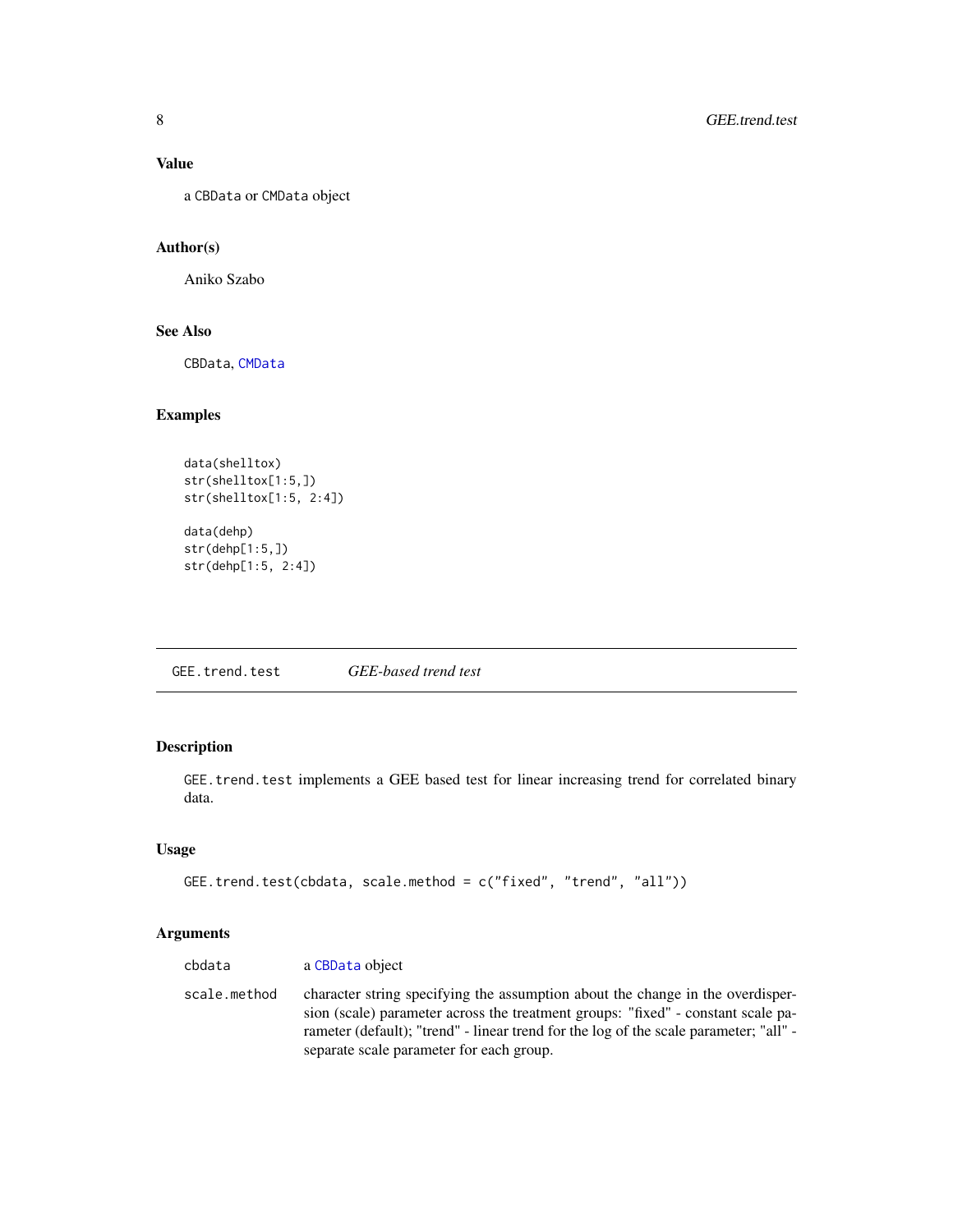# <span id="page-7-0"></span>Value

a CBData or CMData object

# Author(s)

Aniko Szabo

# See Also

CBData, [CMData](#page-3-1)

# Examples

```
data(shelltox)
str(shelltox[1:5,])
str(shelltox[1:5, 2:4])
```
data(dehp) str(dehp[1:5,]) str(dehp[1:5, 2:4])

<span id="page-7-1"></span>GEE.trend.test *GEE-based trend test*

# Description

GEE.trend.test implements a GEE based test for linear increasing trend for correlated binary data.

# Usage

```
GEE.trend.test(cbdata, scale.method = c("fixed", "trend", "all"))
```

| cbdata       | a CBData object                                                                                                                                                                                                                                                                                         |
|--------------|---------------------------------------------------------------------------------------------------------------------------------------------------------------------------------------------------------------------------------------------------------------------------------------------------------|
| scale.method | character string specifying the assumption about the change in the overdisper-<br>sion (scale) parameter across the treatment groups: "fixed" - constant scale pa-<br>rameter (default); "trend" - linear trend for the log of the scale parameter; "all" -<br>separate scale parameter for each group. |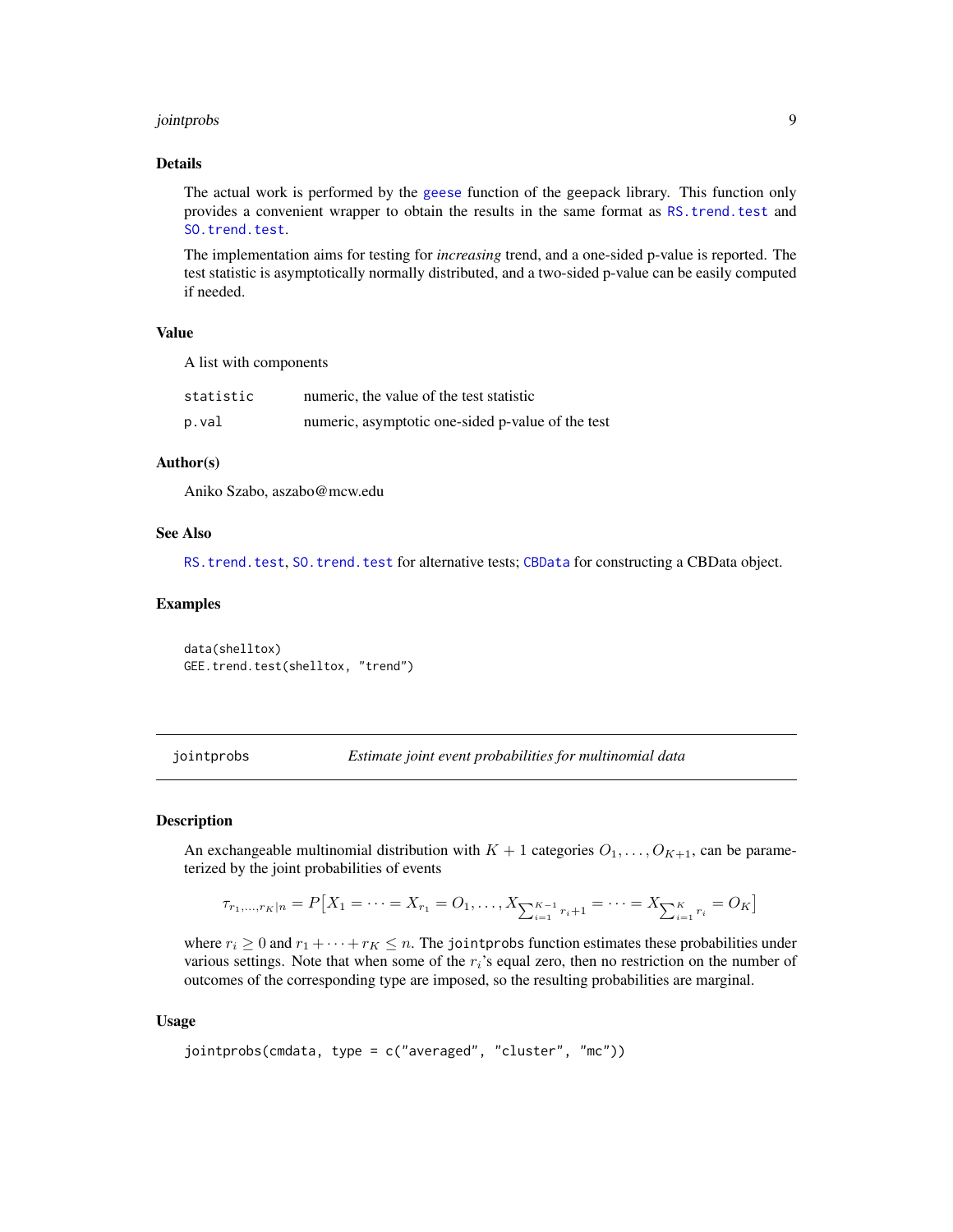#### <span id="page-8-0"></span>jointprobs 9

# Details

The actual work is performed by the [geese](#page-0-0) function of the geepack library. This function only provides a convenient wrapper to obtain the results in the same format as [RS.trend.test](#page-22-1) and [SO.trend.test](#page-26-1).

The implementation aims for testing for *increasing* trend, and a one-sided p-value is reported. The test statistic is asymptotically normally distributed, and a two-sided p-value can be easily computed if needed.

# Value

A list with components

| statistic | numeric, the value of the test statistic          |
|-----------|---------------------------------------------------|
| p.val     | numeric, asymptotic one-sided p-value of the test |

#### Author(s)

Aniko Szabo, aszabo@mcw.edu

#### See Also

[RS.trend.test](#page-22-1), [SO.trend.test](#page-26-1) for alternative tests; [CBData](#page-2-1) for constructing a CBData object.

#### Examples

data(shelltox) GEE.trend.test(shelltox, "trend")

<span id="page-8-1"></span>jointprobs *Estimate joint event probabilities for multinomial data*

#### Description

An exchangeable multinomial distribution with  $K + 1$  categories  $O_1, \ldots, O_{K+1}$ , can be parameterized by the joint probabilities of events

$$
\tau_{r_1,\ldots,r_K|n} = P\big[X_1 = \cdots = X_{r_1} = O_1, \ldots, X_{\sum_{i=1}^{K-1} r_i + 1} = \cdots = X_{\sum_{i=1}^{K} r_i} = O_K\big]
$$

where  $r_i \geq 0$  and  $r_1 + \cdots + r_K \leq n$ . The jointprobs function estimates these probabilities under various settings. Note that when some of the  $r_i$ 's equal zero, then no restriction on the number of outcomes of the corresponding type are imposed, so the resulting probabilities are marginal.

#### Usage

```
jointprobs(cmdata, type = c("averaged", "cluster", "mc"))
```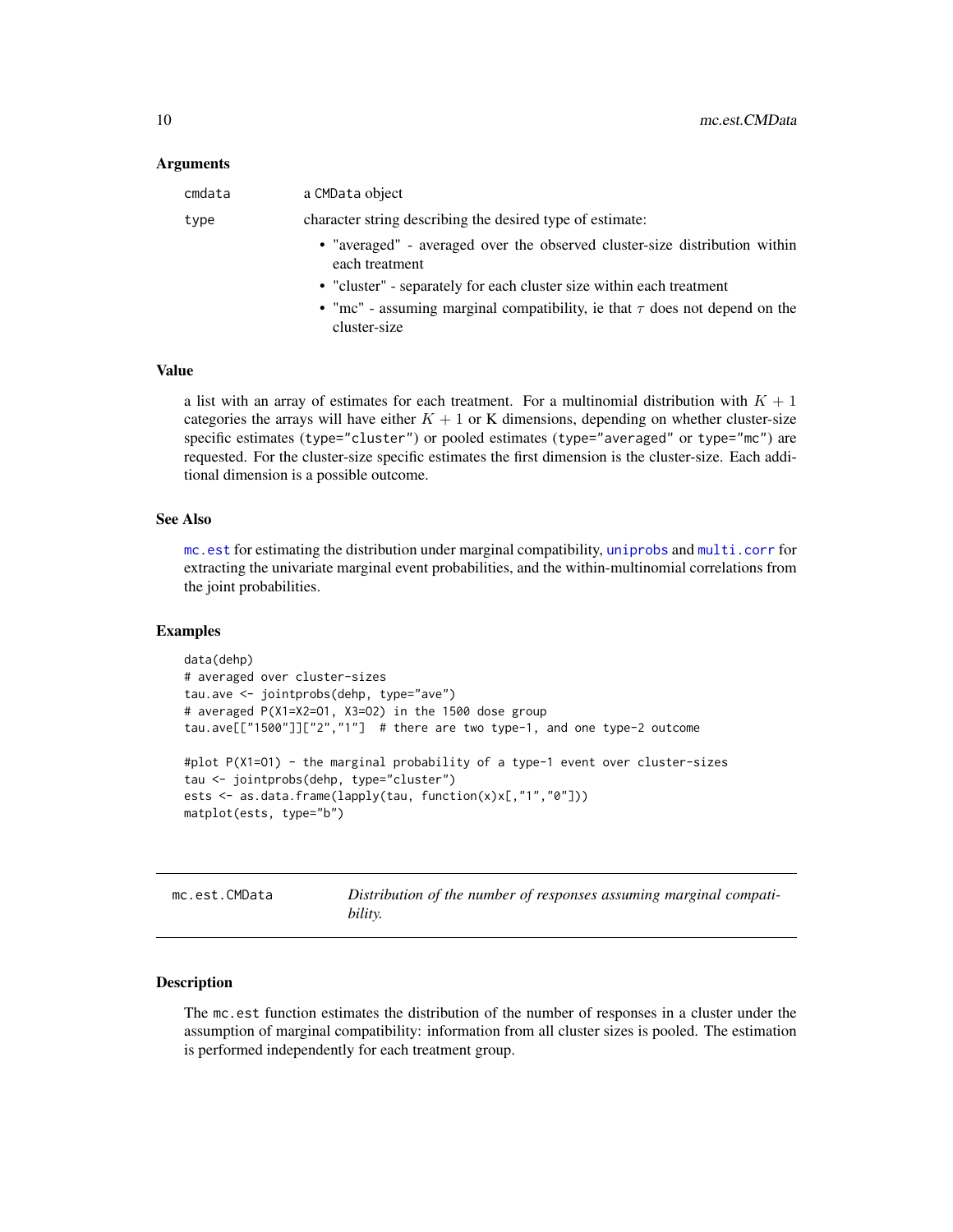#### <span id="page-9-0"></span>Arguments

| cmdata | a CMData object                                                                                 |
|--------|-------------------------------------------------------------------------------------------------|
| type   | character string describing the desired type of estimate:                                       |
|        | • "averaged" - averaged over the observed cluster-size distribution within<br>each treatment    |
|        | • "cluster" - separately for each cluster size within each treatment                            |
|        | • "mc" - assuming marginal compatibility, ie that $\tau$ does not depend on the<br>cluster-size |

#### Value

a list with an array of estimates for each treatment. For a multinomial distribution with  $K + 1$ categories the arrays will have either  $K + 1$  or K dimensions, depending on whether cluster-size specific estimates (type="cluster") or pooled estimates (type="averaged" or type="mc") are requested. For the cluster-size specific estimates the first dimension is the cluster-size. Each additional dimension is a possible outcome.

#### See Also

[mc.est](#page-9-1) for estimating the distribution under marginal compatibility, [uniprobs](#page-30-1) and [multi.corr](#page-12-1) for extracting the univariate marginal event probabilities, and the within-multinomial correlations from the joint probabilities.

#### Examples

```
data(dehp)
# averaged over cluster-sizes
tau.ave <- jointprobs(dehp, type="ave")
# averaged P(X1=X2=O1, X3=O2) in the 1500 dose group
tau.ave[["1500"]]["2","1"] # there are two type-1, and one type-2 outcome
#plot P(X1=O1) - the marginal probability of a type-1 event over cluster-sizes
tau <- jointprobs(dehp, type="cluster")
ests <- as.data.frame(lapply(tau, function(x)x[,"1","0"]))
matplot(ests, type="b")
```
mc.est.CMData *Distribution of the number of responses assuming marginal compatibility.*

# <span id="page-9-1"></span>Description

The mc.est function estimates the distribution of the number of responses in a cluster under the assumption of marginal compatibility: information from all cluster sizes is pooled. The estimation is performed independently for each treatment group.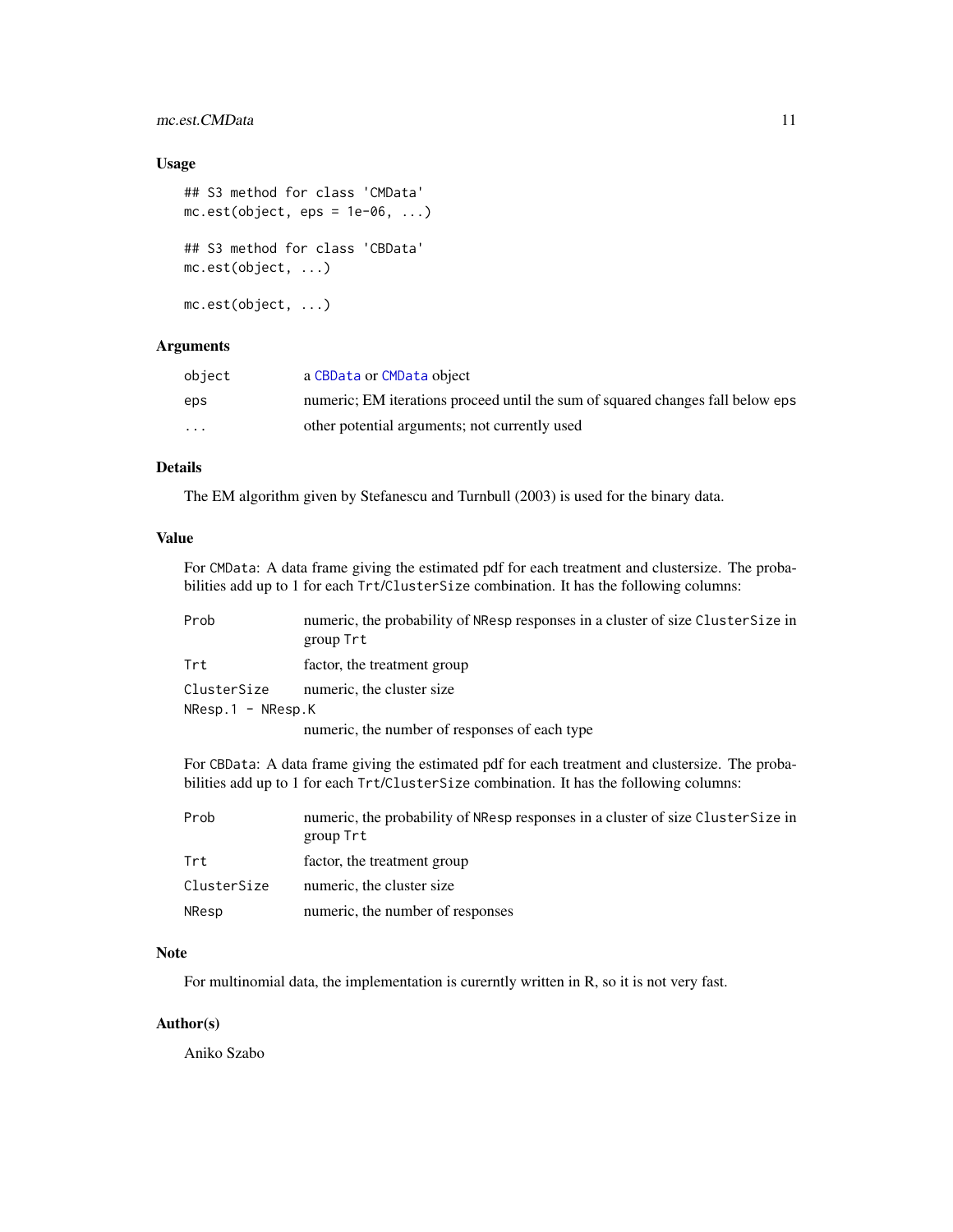# <span id="page-10-0"></span>mc.est.CMData 11

# Usage

```
## S3 method for class 'CMData'
mc.est(object,eps = 1e-06, ...)## S3 method for class 'CBData'
mc.est(object, ...)
mc.est(object, ...)
```
# Arguments

| object                  | a CBData or CMData object                                                      |
|-------------------------|--------------------------------------------------------------------------------|
| eps                     | numeric; EM iterations proceed until the sum of squared changes fall below eps |
| $\cdot$ $\cdot$ $\cdot$ | other potential arguments; not currently used                                  |

# Details

The EM algorithm given by Stefanescu and Turnbull (2003) is used for the binary data.

#### Value

For CMData: A data frame giving the estimated pdf for each treatment and clustersize. The probabilities add up to 1 for each Trt/ClusterSize combination. It has the following columns:

| Prob                    | numeric, the probability of NResp responses in a cluster of size Cluster Size in |
|-------------------------|----------------------------------------------------------------------------------|
|                         | group Trt                                                                        |
| Trt                     | factor, the treatment group                                                      |
| ClusterSize             | numeric, the cluster size                                                        |
| $N$ Resp.1 - $N$ Resp.K |                                                                                  |
|                         | numeric, the number of responses of each type                                    |
|                         |                                                                                  |

For CBData: A data frame giving the estimated pdf for each treatment and clustersize. The probabilities add up to 1 for each Trt/ClusterSize combination. It has the following columns:

| Prob        | numeric, the probability of NResp responses in a cluster of size Cluster Size in<br>group Trt |
|-------------|-----------------------------------------------------------------------------------------------|
| Trt         | factor, the treatment group                                                                   |
| ClusterSize | numeric, the cluster size                                                                     |
| NResp       | numeric, the number of responses                                                              |

#### Note

For multinomial data, the implementation is curerntly written in R, so it is not very fast.

# Author(s)

Aniko Szabo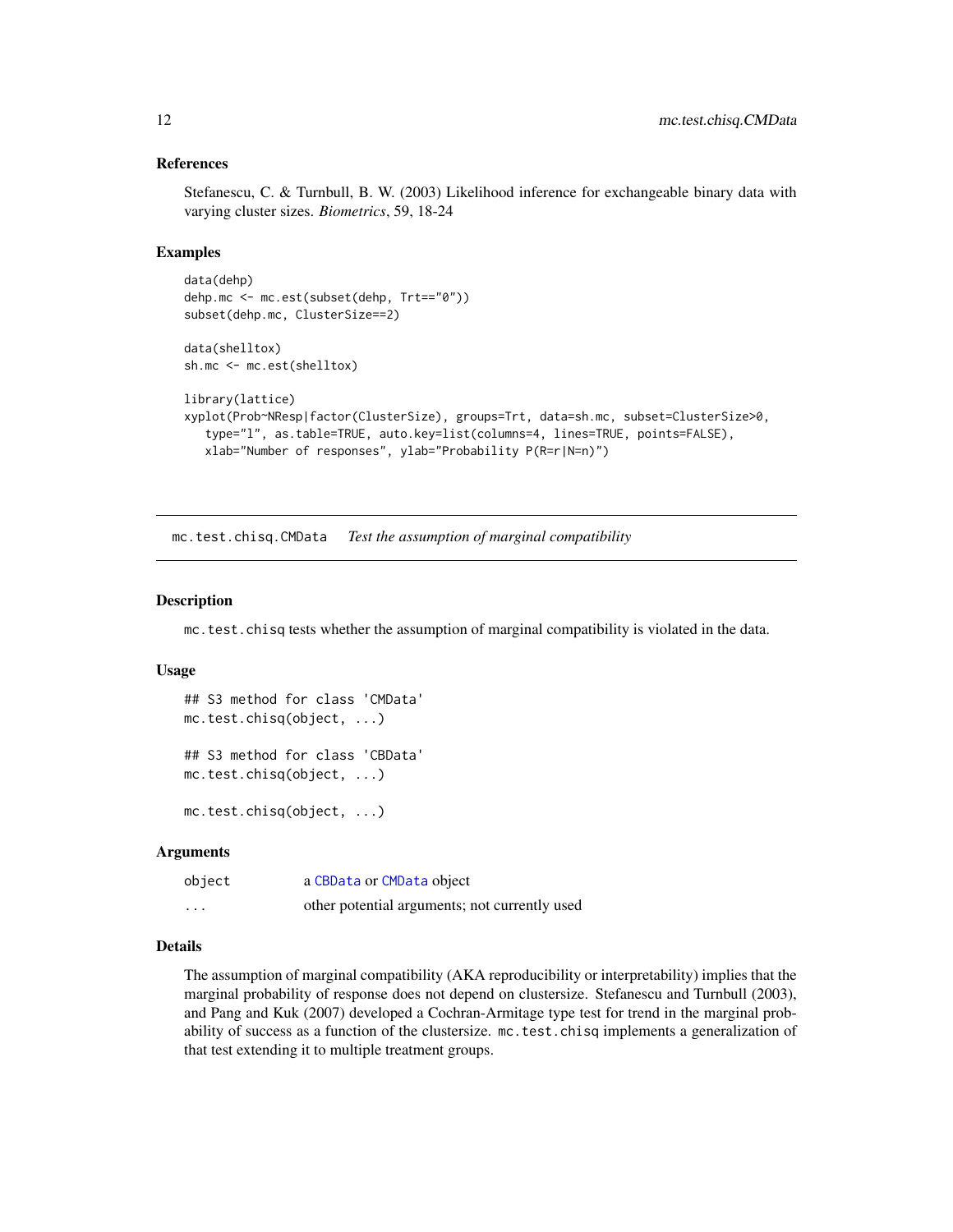#### References

Stefanescu, C. & Turnbull, B. W. (2003) Likelihood inference for exchangeable binary data with varying cluster sizes. *Biometrics*, 59, 18-24

#### Examples

```
data(dehp)
dehp.mc <- mc.est(subset(dehp, Trt=="0"))
subset(dehp.mc, ClusterSize==2)
data(shelltox)
sh.mc <- mc.est(shelltox)
library(lattice)
```

```
xyplot(Prob~NResp|factor(ClusterSize), groups=Trt, data=sh.mc, subset=ClusterSize>0,
   type="l", as.table=TRUE, auto.key=list(columns=4, lines=TRUE, points=FALSE),
  xlab="Number of responses", ylab="Probability P(R=r|N=n)")
```
mc.test.chisq.CMData *Test the assumption of marginal compatibility*

# <span id="page-11-1"></span>Description

mc.test.chisq tests whether the assumption of marginal compatibility is violated in the data.

#### Usage

```
## S3 method for class 'CMData'
mc.test.chisq(object, ...)
## S3 method for class 'CBData'
mc.test.chisq(object, ...)
mc.test.chisq(object, ...)
```
# Arguments

| object   | a CBData or CMData object                     |
|----------|-----------------------------------------------|
| $\cdots$ | other potential arguments; not currently used |

#### Details

The assumption of marginal compatibility (AKA reproducibility or interpretability) implies that the marginal probability of response does not depend on clustersize. Stefanescu and Turnbull (2003), and Pang and Kuk (2007) developed a Cochran-Armitage type test for trend in the marginal probability of success as a function of the clustersize. mc.test.chisq implements a generalization of that test extending it to multiple treatment groups.

<span id="page-11-0"></span>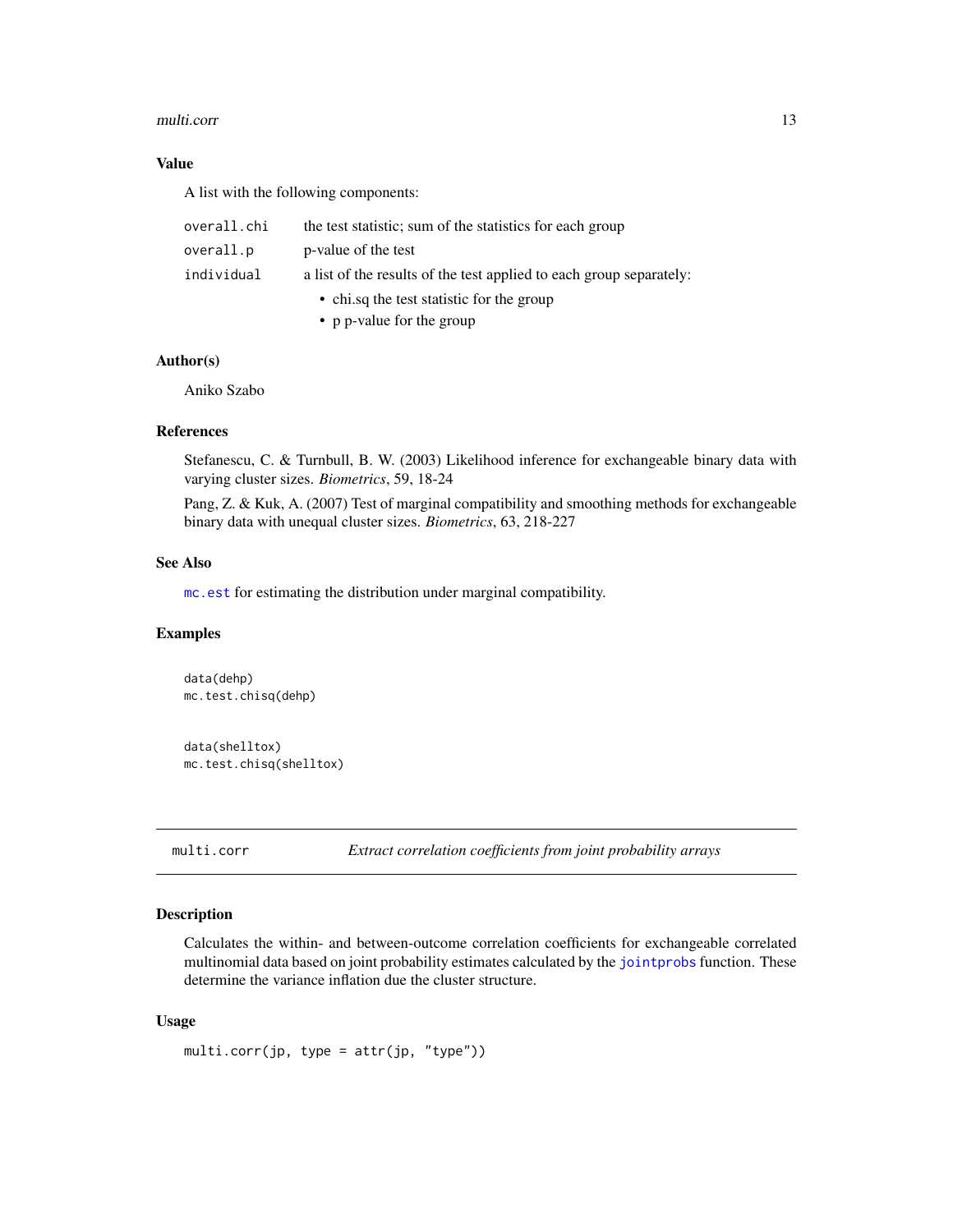#### <span id="page-12-0"></span>multi.corr 13

# Value

A list with the following components:

| overall.chi | the test statistic; sum of the statistics for each group            |
|-------------|---------------------------------------------------------------------|
| overall.p   | p-value of the test                                                 |
| individual  | a list of the results of the test applied to each group separately: |
|             | • chi.sq the test statistic for the group                           |
|             | • p p-value for the group                                           |

#### Author(s)

Aniko Szabo

#### References

Stefanescu, C. & Turnbull, B. W. (2003) Likelihood inference for exchangeable binary data with varying cluster sizes. *Biometrics*, 59, 18-24

Pang, Z. & Kuk, A. (2007) Test of marginal compatibility and smoothing methods for exchangeable binary data with unequal cluster sizes. *Biometrics*, 63, 218-227

# See Also

[mc.est](#page-9-1) for estimating the distribution under marginal compatibility.

# Examples

data(dehp) mc.test.chisq(dehp)

data(shelltox) mc.test.chisq(shelltox)

<span id="page-12-1"></span>multi.corr *Extract correlation coefficients from joint probability arrays*

# Description

Calculates the within- and between-outcome correlation coefficients for exchangeable correlated multinomial data based on joint probability estimates calculated by the [jointprobs](#page-8-1) function. These determine the variance inflation due the cluster structure.

#### Usage

```
multi.corr(jp, type = attr(jp, "type"))
```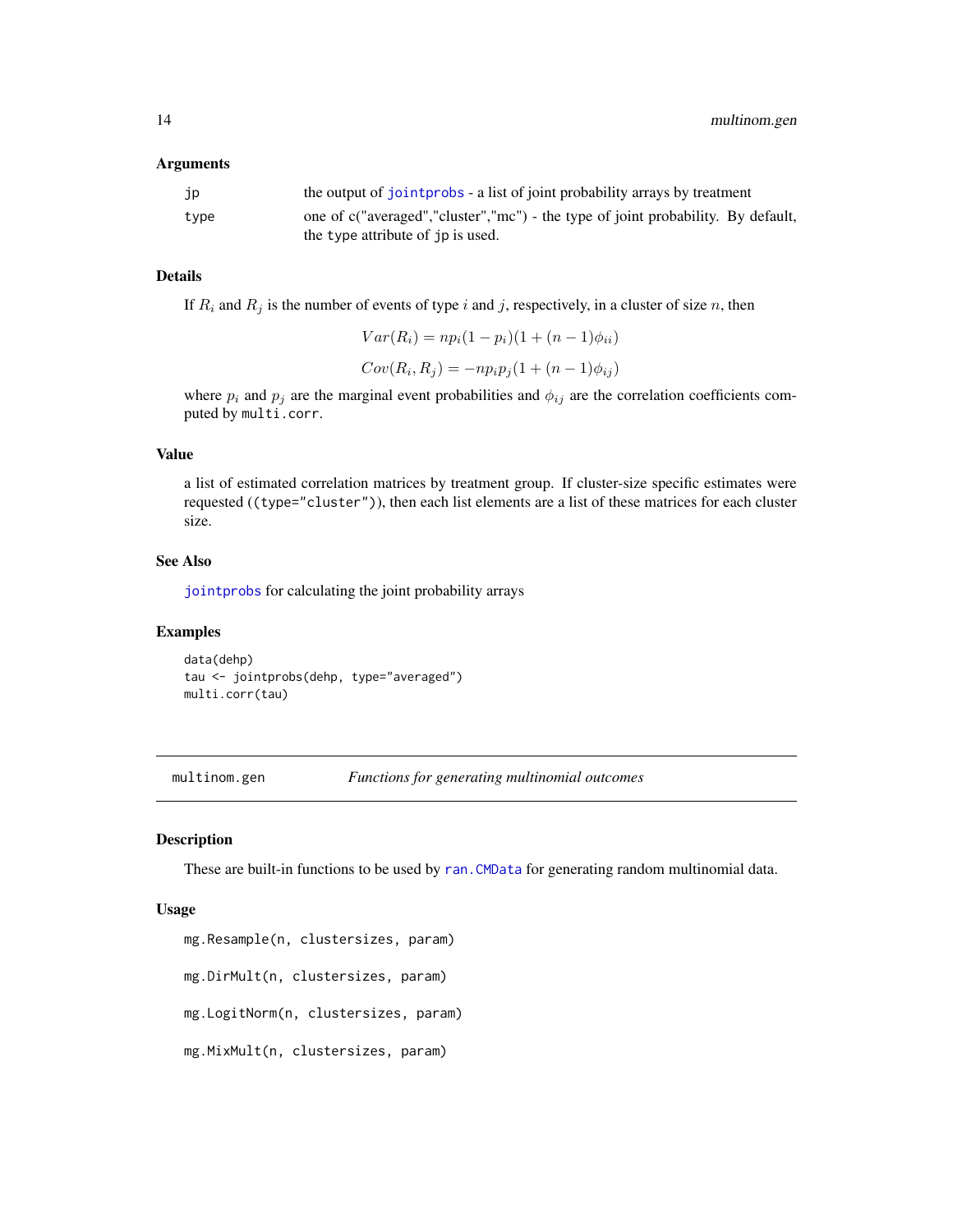#### <span id="page-13-0"></span>Arguments

| .JP  | the output of joint probability arrays by treatment                              |
|------|----------------------------------------------------------------------------------|
| type | one of c("averaged","cluster","mc") - the type of joint probability. By default, |
|      | the type attribute of jp is used.                                                |

#### Details

If  $R_i$  and  $R_j$  is the number of events of type i and j, respectively, in a cluster of size n, then

$$
Var(R_i) = np_i(1 - p_i)(1 + (n - 1)\phi_{ii})
$$
  
\n
$$
Cov(R_i, R_j) = -np_i p_j(1 + (n - 1)\phi_{ij})
$$

where  $p_i$  and  $p_j$  are the marginal event probabilities and  $\phi_{ij}$  are the correlation coefficients computed by multi.corr.

# Value

a list of estimated correlation matrices by treatment group. If cluster-size specific estimates were requested ((type="cluster")), then each list elements are a list of these matrices for each cluster size.

#### See Also

[jointprobs](#page-8-1) for calculating the joint probability arrays

#### Examples

data(dehp) tau <- jointprobs(dehp, type="averaged") multi.corr(tau)

<span id="page-13-1"></span>multinom.gen *Functions for generating multinomial outcomes*

# Description

These are built-in functions to be used by [ran.CMData](#page-18-1) for generating random multinomial data.

#### Usage

```
mg.Resample(n, clustersizes, param)
mg.DirMult(n, clustersizes, param)
mg.LogitNorm(n, clustersizes, param)
mg.MixMult(n, clustersizes, param)
```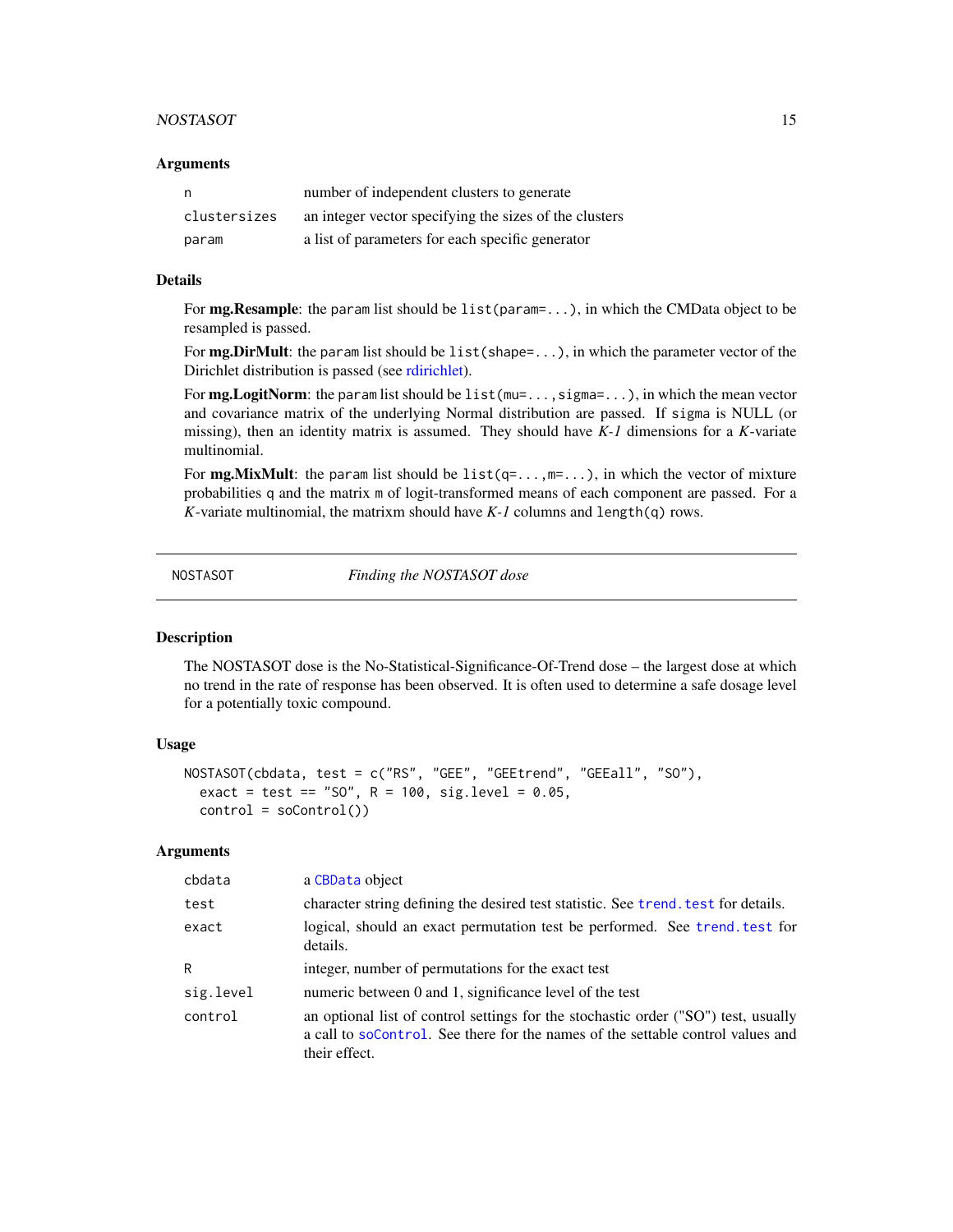#### <span id="page-14-0"></span>NOSTASOT 15

#### **Arguments**

| n            | number of independent clusters to generate             |
|--------------|--------------------------------------------------------|
| clustersizes | an integer vector specifying the sizes of the clusters |
| param        | a list of parameters for each specific generator       |

#### Details

For mg. Resample: the param list should be list(param=...), in which the CMData object to be resampled is passed.

For **mg.DirMult**: the param list should be list (shape= $\dots$ ), in which the parameter vector of the Dirichlet distribution is passed (see [rdirichlet\)](#page-0-0).

For **mg.LogitNorm**: the param list should be  $list(mu=...,sigmaa=-...)$ , in which the mean vector and covariance matrix of the underlying Normal distribution are passed. If sigma is NULL (or missing), then an identity matrix is assumed. They should have *K-1* dimensions for a *K*-variate multinomial.

For **mg.MixMult**: the param list should be  $list(q=...,m=...),$  in which the vector of mixture probabilities q and the matrix m of logit-transformed means of each component are passed. For a *K*-variate multinomial, the matrixm should have *K-1* columns and length(q) rows.

NOSTASOT *Finding the NOSTASOT dose*

#### Description

The NOSTASOT dose is the No-Statistical-Significance-Of-Trend dose – the largest dose at which no trend in the rate of response has been observed. It is often used to determine a safe dosage level for a potentially toxic compound.

#### Usage

```
NOSTASOT(cbdata, test = c("RS", "GEE", "GEEtrend", "GEEall", "SO"),
  exact = test == "SO", R = 100, sig.level = 0.05,
  control = soControl()
```

| cbdata    | a CBData object                                                                                                                                                                        |
|-----------|----------------------------------------------------------------------------------------------------------------------------------------------------------------------------------------|
| test      | character string defining the desired test statistic. See trend, test for details.                                                                                                     |
| exact     | logical, should an exact permutation test be performed. See trend. test for<br>details.                                                                                                |
| R         | integer, number of permutations for the exact test                                                                                                                                     |
| sig.level | numeric between 0 and 1, significance level of the test                                                                                                                                |
| control   | an optional list of control settings for the stochastic order ("SO") test, usually<br>a call to soControl. See there for the names of the settable control values and<br>their effect. |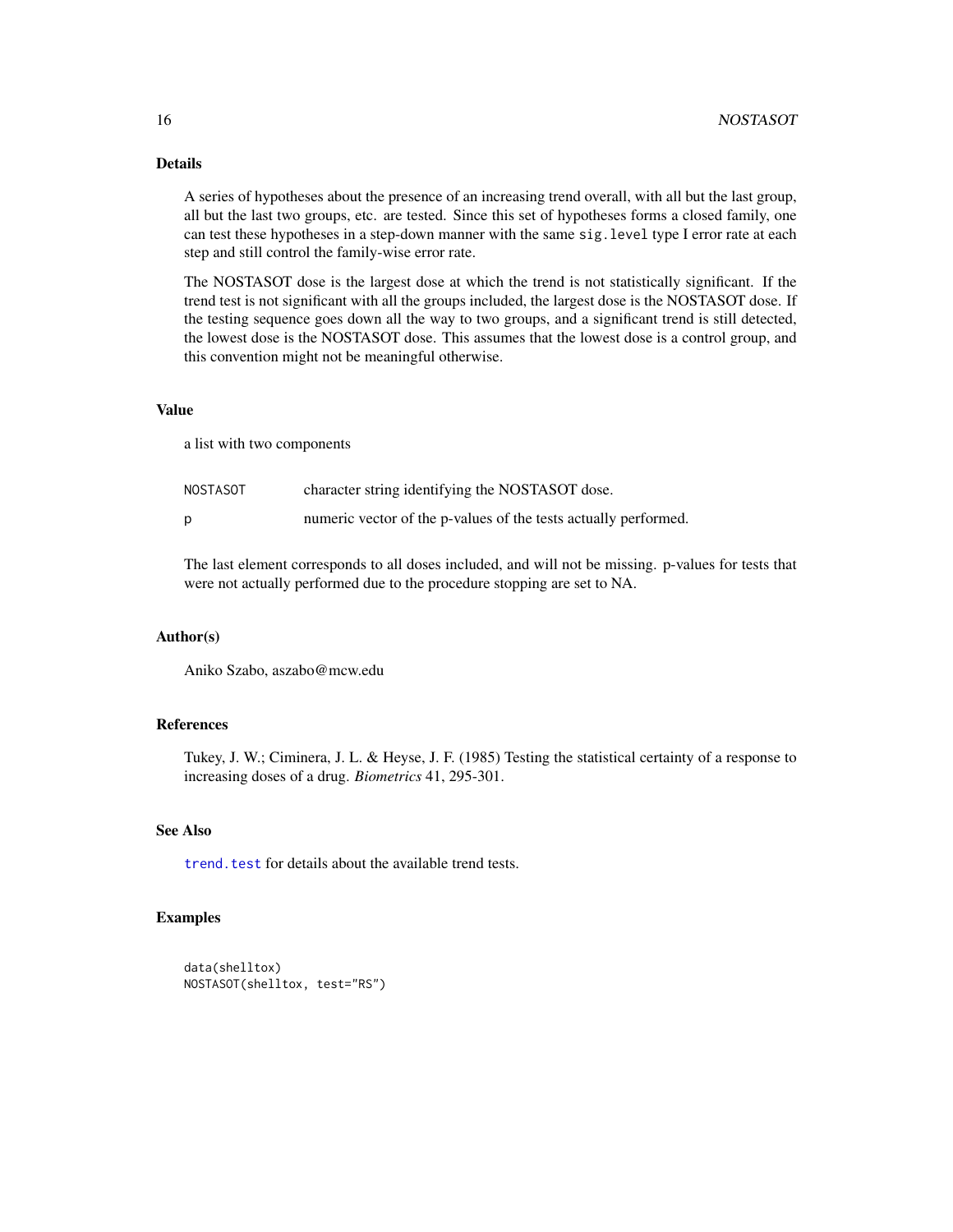# Details

A series of hypotheses about the presence of an increasing trend overall, with all but the last group, all but the last two groups, etc. are tested. Since this set of hypotheses forms a closed family, one can test these hypotheses in a step-down manner with the same sig.level type I error rate at each step and still control the family-wise error rate.

The NOSTASOT dose is the largest dose at which the trend is not statistically significant. If the trend test is not significant with all the groups included, the largest dose is the NOSTASOT dose. If the testing sequence goes down all the way to two groups, and a significant trend is still detected, the lowest dose is the NOSTASOT dose. This assumes that the lowest dose is a control group, and this convention might not be meaningful otherwise.

# Value

a list with two components

| NOSTASOT | character string identifying the NOSTASOT dose.                 |
|----------|-----------------------------------------------------------------|
|          | numeric vector of the p-values of the tests actually performed. |

The last element corresponds to all doses included, and will not be missing. p-values for tests that were not actually performed due to the procedure stopping are set to NA.

#### Author(s)

Aniko Szabo, aszabo@mcw.edu

# References

Tukey, J. W.; Ciminera, J. L. & Heyse, J. F. (1985) Testing the statistical certainty of a response to increasing doses of a drug. *Biometrics* 41, 295-301.

# See Also

trend. test for details about the available trend tests.

# Examples

```
data(shelltox)
NOSTASOT(shelltox, test="RS")
```
<span id="page-15-0"></span>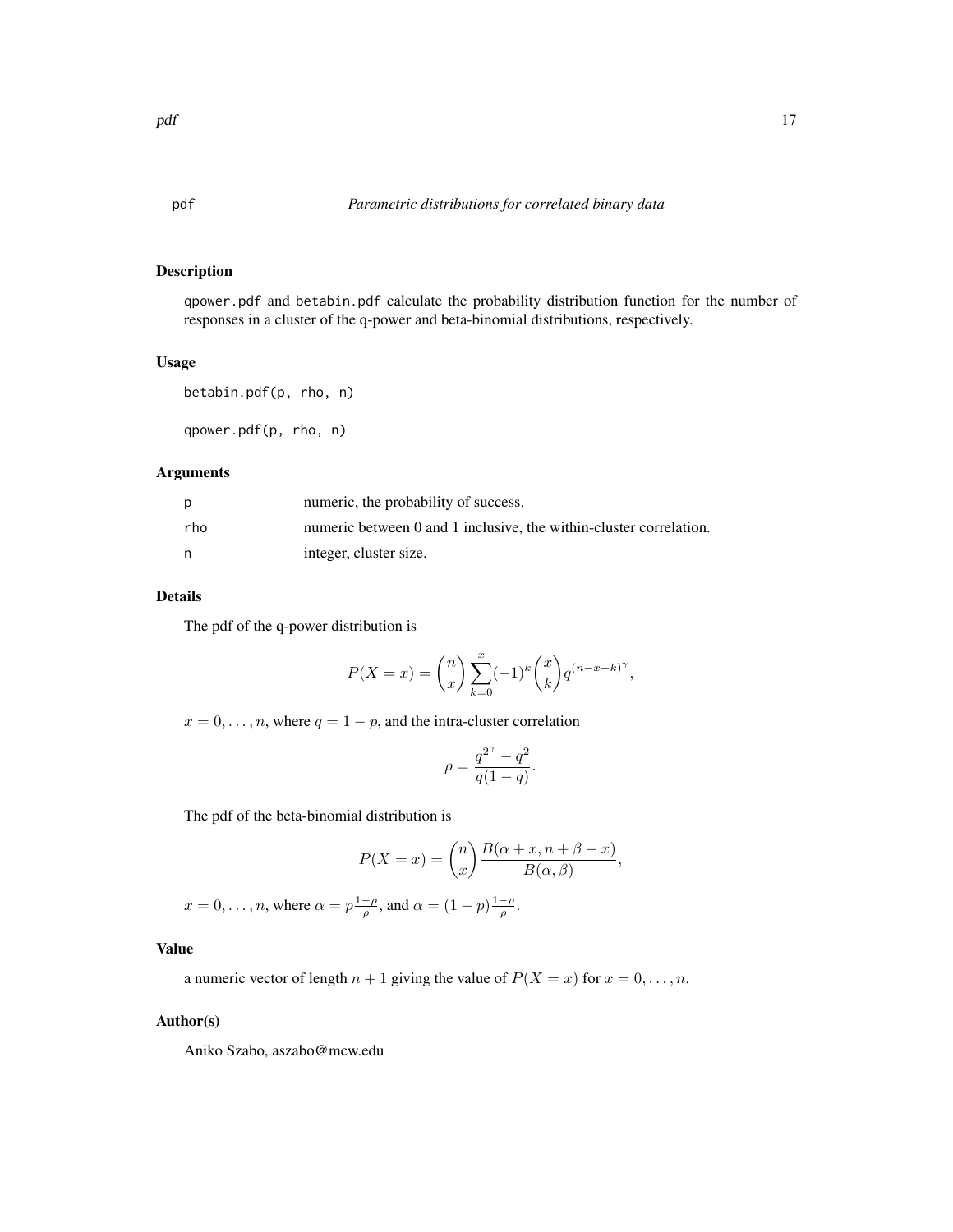<span id="page-16-1"></span><span id="page-16-0"></span>qpower.pdf and betabin.pdf calculate the probability distribution function for the number of responses in a cluster of the q-power and beta-binomial distributions, respectively.

#### Usage

```
betabin.pdf(p, rho, n)
```
qpower.pdf(p, rho, n)

#### Arguments

| p   | numeric, the probability of success.                               |
|-----|--------------------------------------------------------------------|
| rho | numeric between 0 and 1 inclusive, the within-cluster correlation. |
| n   | integer, cluster size.                                             |

# Details

The pdf of the q-power distribution is

$$
P(X = x) = {n \choose x} \sum_{k=0}^{x} (-1)^k {x \choose k} q^{(n-x+k)^{\gamma}},
$$

 $x = 0, \ldots, n$ , where  $q = 1 - p$ , and the intra-cluster correlation

$$
\rho = \frac{q^{2^{\gamma}} - q^2}{q(1-q)}.
$$

The pdf of the beta-binomial distribution is

$$
P(X = x) = {n \choose x} \frac{B(\alpha + x, n + \beta - x)}{B(\alpha, \beta)},
$$

 $x = 0, \dots, n$ , where  $\alpha = p \frac{1-\rho}{\rho}$ , and  $\alpha = (1-p) \frac{1-\rho}{\rho}$ .

# Value

a numeric vector of length  $n + 1$  giving the value of  $P(X = x)$  for  $x = 0, \ldots, n$ .

#### Author(s)

Aniko Szabo, aszabo@mcw.edu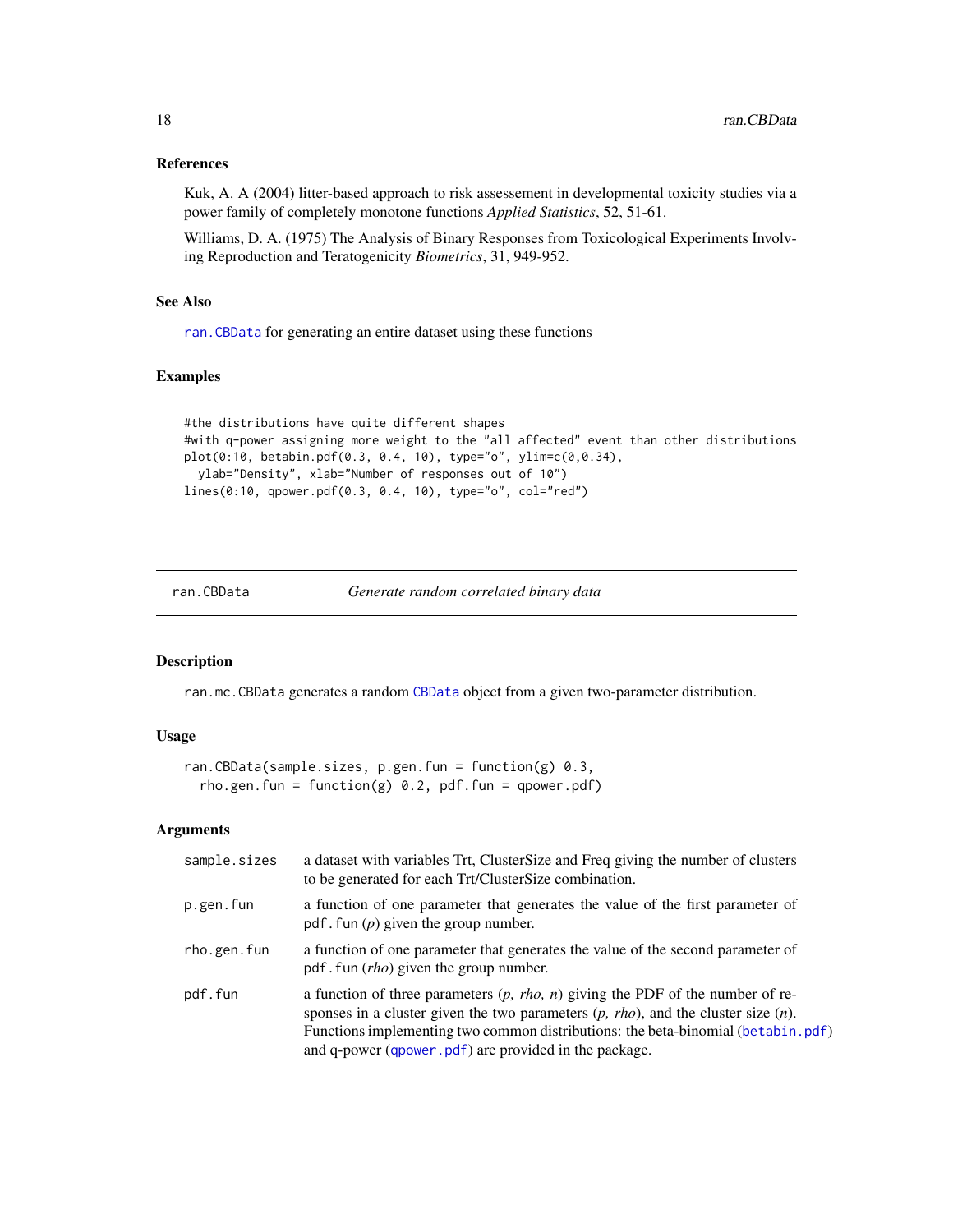#### <span id="page-17-0"></span>References

Kuk, A. A (2004) litter-based approach to risk assessement in developmental toxicity studies via a power family of completely monotone functions *Applied Statistics*, 52, 51-61.

Williams, D. A. (1975) The Analysis of Binary Responses from Toxicological Experiments Involving Reproduction and Teratogenicity *Biometrics*, 31, 949-952.

# See Also

[ran.CBData](#page-17-1) for generating an entire dataset using these functions

# Examples

```
#the distributions have quite different shapes
#with q-power assigning more weight to the "all affected" event than other distributions
plot(0:10, betabin.pdf(0.3, 0.4, 10), type="o", ylim=c(0,0.34),
  ylab="Density", xlab="Number of responses out of 10")
lines(0:10, qpower.pdf(0.3, 0.4, 10), type="o", col="red")
```
<span id="page-17-1"></span>ran.CBData *Generate random correlated binary data*

#### Description

ran.mc.CBData generates a random [CBData](#page-2-1) object from a given two-parameter distribution.

# Usage

```
ran.CBData(sample.sizes, p.gen.fun = function(g) 0.3,
  rho.gen.fun = function(g) 0.2, pdf.fun = qpower.pdf)
```

| sample.sizes | a dataset with variables Trt, ClusterSize and Freq giving the number of clusters<br>to be generated for each Trt/ClusterSize combination.                                                                                                                                                                                |
|--------------|--------------------------------------------------------------------------------------------------------------------------------------------------------------------------------------------------------------------------------------------------------------------------------------------------------------------------|
| p.gen.fun    | a function of one parameter that generates the value of the first parameter of<br>pdf. fun $(p)$ given the group number.                                                                                                                                                                                                 |
| rho.gen.fun  | a function of one parameter that generates the value of the second parameter of<br>pdf. fun $(rho)$ given the group number.                                                                                                                                                                                              |
| pdf.fun      | a function of three parameters $(p, rho, n)$ giving the PDF of the number of re-<br>sponses in a cluster given the two parameters $(p, rho)$ , and the cluster size $(n)$ .<br>Functions implementing two common distributions: the beta-binomial (betabin.pdf)<br>and q-power (qpower.pdf) are provided in the package. |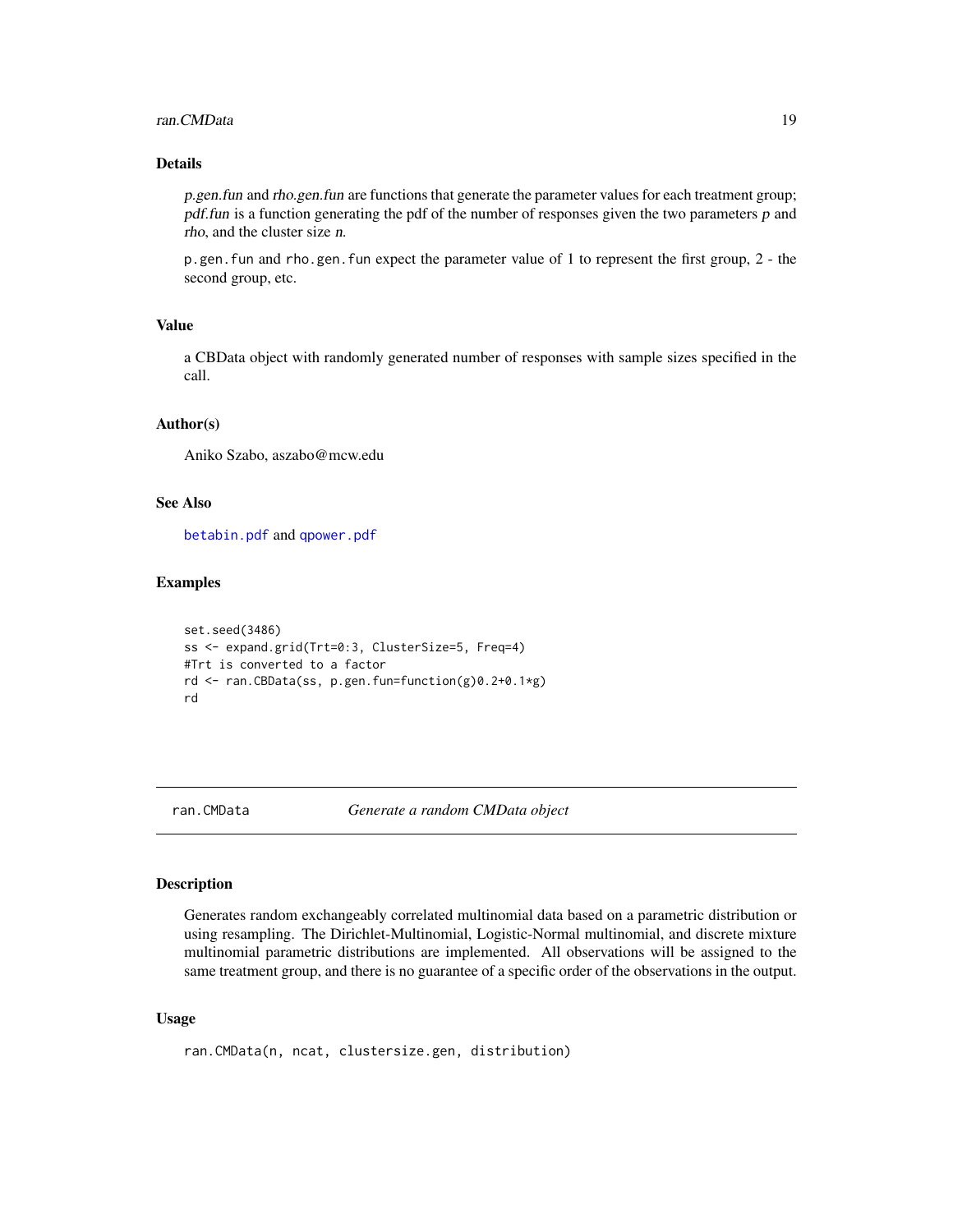#### <span id="page-18-0"></span>ran.CMData 19

# Details

p.gen.fun and rho.gen.fun are functions that generate the parameter values for each treatment group; pdf.fun is a function generating the pdf of the number of responses given the two parameters p and rho, and the cluster size n.

p.gen.fun and rho.gen.fun expect the parameter value of 1 to represent the first group, 2 - the second group, etc.

# Value

a CBData object with randomly generated number of responses with sample sizes specified in the call.

#### Author(s)

Aniko Szabo, aszabo@mcw.edu

# See Also

[betabin.pdf](#page-16-1) and [qpower.pdf](#page-16-1)

#### Examples

```
set.seed(3486)
ss <- expand.grid(Trt=0:3, ClusterSize=5, Freq=4)
#Trt is converted to a factor
rd <- ran.CBData(ss, p.gen.fun=function(g)0.2+0.1*g)
rd
```
<span id="page-18-1"></span>ran.CMData *Generate a random CMData object*

#### Description

Generates random exchangeably correlated multinomial data based on a parametric distribution or using resampling. The Dirichlet-Multinomial, Logistic-Normal multinomial, and discrete mixture multinomial parametric distributions are implemented. All observations will be assigned to the same treatment group, and there is no guarantee of a specific order of the observations in the output.

#### Usage

```
ran.CMData(n, ncat, clustersize.gen, distribution)
```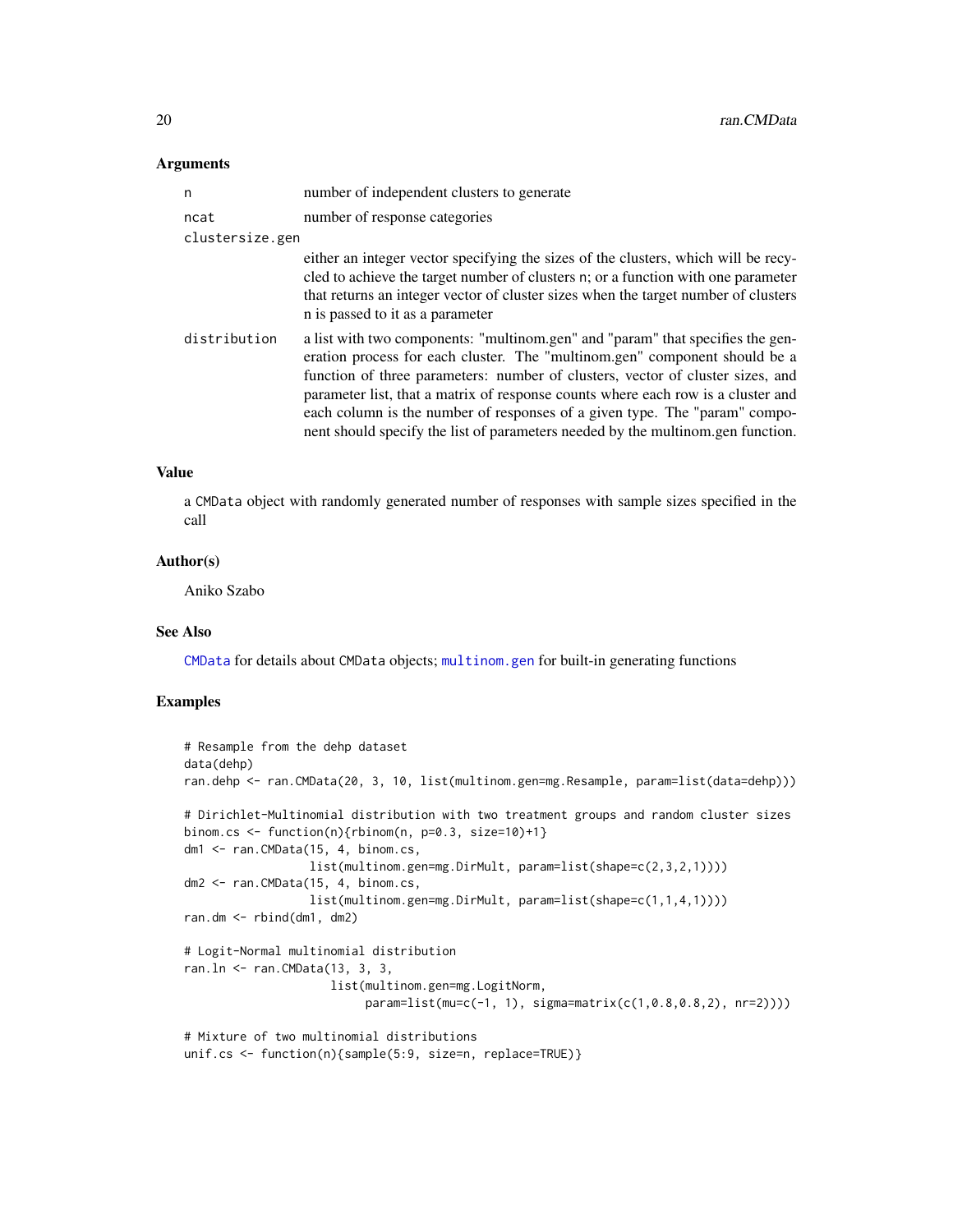#### <span id="page-19-0"></span>Arguments

| n               | number of independent clusters to generate                                                                                                                                                                                                                                                                                                                                                                                                                                                          |
|-----------------|-----------------------------------------------------------------------------------------------------------------------------------------------------------------------------------------------------------------------------------------------------------------------------------------------------------------------------------------------------------------------------------------------------------------------------------------------------------------------------------------------------|
| ncat            | number of response categories                                                                                                                                                                                                                                                                                                                                                                                                                                                                       |
| clustersize.gen |                                                                                                                                                                                                                                                                                                                                                                                                                                                                                                     |
|                 | either an integer vector specifying the sizes of the clusters, which will be recy-<br>cled to achieve the target number of clusters n; or a function with one parameter<br>that returns an integer vector of cluster sizes when the target number of clusters<br>n is passed to it as a parameter                                                                                                                                                                                                   |
| distribution    | a list with two components: "multinom.gen" and "param" that specifies the gen-<br>eration process for each cluster. The "multinom.gen" component should be a<br>function of three parameters: number of clusters, vector of cluster sizes, and<br>parameter list, that a matrix of response counts where each row is a cluster and<br>each column is the number of responses of a given type. The "param" compo-<br>nent should specify the list of parameters needed by the multinom.gen function. |

# Value

a CMData object with randomly generated number of responses with sample sizes specified in the call

#### Author(s)

Aniko Szabo

# See Also

[CMData](#page-3-1) for details about CMData objects; [multinom.gen](#page-13-1) for built-in generating functions

#### Examples

```
# Resample from the dehp dataset
data(dehp)
ran.dehp <- ran.CMData(20, 3, 10, list(multinom.gen=mg.Resample, param=list(data=dehp)))
# Dirichlet-Multinomial distribution with two treatment groups and random cluster sizes
binom.cs \le function(n){rbinom(n, p=0.3, size=10)+1}
dm1 <- ran.CMData(15, 4, binom.cs,
                  list(multinom.gen=mg.DirMult, param=list(shape=c(2,3,2,1))))
dm2 <- ran.CMData(15, 4, binom.cs,
                  list(multinom.gen=mg.DirMult, param=list(shape=c(1,1,4,1))))
ran.dm <- rbind(dm1, dm2)
# Logit-Normal multinomial distribution
ran.ln <- ran.CMData(13, 3, 3,
                     list(multinom.gen=mg.LogitNorm,
                          param=list(mu=c(-1, 1), sigma=matrix(c(1,0.8,0.8,2), nr=2))))
# Mixture of two multinomial distributions
unif.cs <- function(n){sample(5:9, size=n, replace=TRUE)}
```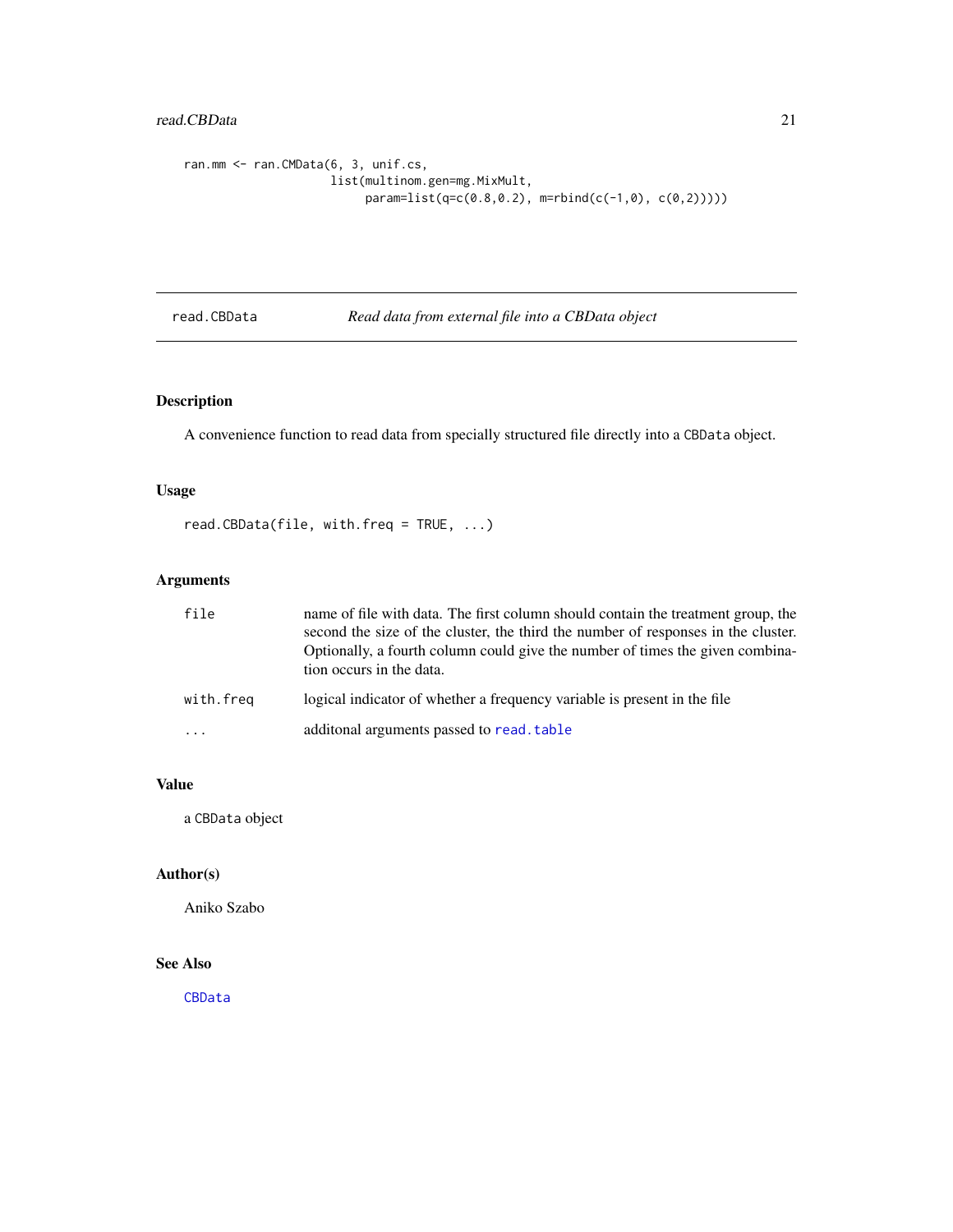# <span id="page-20-0"></span>read.CBData 21

```
ran.mm <- ran.CMData(6, 3, unif.cs,
                    list(multinom.gen=mg.MixMult,
                         param=list(q=c(0.8,0.2), m=rbind(c(-1,0), c(0,2)))))
```
<span id="page-20-1"></span>read.CBData *Read data from external file into a CBData object*

# Description

A convenience function to read data from specially structured file directly into a CBData object.

# Usage

```
read.CBData(file, with.freq = TRUE, ...)
```
# Arguments

| file      | name of file with data. The first column should contain the treatment group, the<br>second the size of the cluster, the third the number of responses in the cluster.<br>Optionally, a fourth column could give the number of times the given combina-<br>tion occurs in the data. |
|-----------|------------------------------------------------------------------------------------------------------------------------------------------------------------------------------------------------------------------------------------------------------------------------------------|
| with.freq | logical indicator of whether a frequency variable is present in the file                                                                                                                                                                                                           |
| .         | additonal arguments passed to read. table                                                                                                                                                                                                                                          |

#### Value

a CBData object

# Author(s)

Aniko Szabo

# See Also

[CBData](#page-2-1)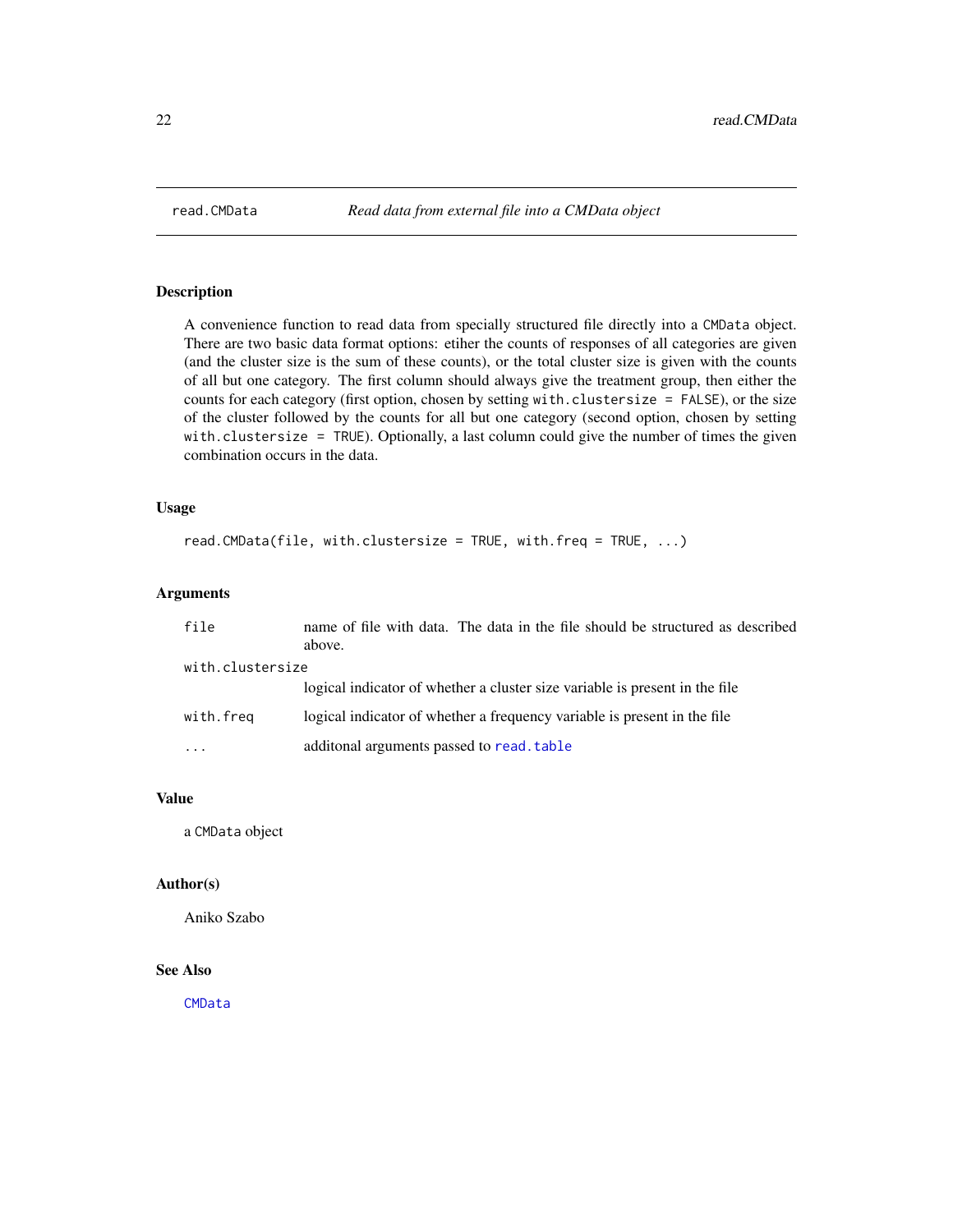<span id="page-21-1"></span><span id="page-21-0"></span>

A convenience function to read data from specially structured file directly into a CMData object. There are two basic data format options: etiher the counts of responses of all categories are given (and the cluster size is the sum of these counts), or the total cluster size is given with the counts of all but one category. The first column should always give the treatment group, then either the counts for each category (first option, chosen by setting with.clustersize = FALSE), or the size of the cluster followed by the counts for all but one category (second option, chosen by setting with.clustersize = TRUE). Optionally, a last column could give the number of times the given combination occurs in the data.

# Usage

```
read.CMData(file, with.clustersize = TRUE, with.freq = TRUE, ...)
```
# Arguments

| file             | name of file with data. The data in the file should be structured as described |
|------------------|--------------------------------------------------------------------------------|
| with.clustersize | above.                                                                         |
|                  | logical indicator of whether a cluster size variable is present in the file    |
| with.freq        | logical indicator of whether a frequency variable is present in the file       |
| .                | additonal arguments passed to read. table                                      |

# Value

a CMData object

#### Author(s)

Aniko Szabo

# See Also

[CMData](#page-3-1)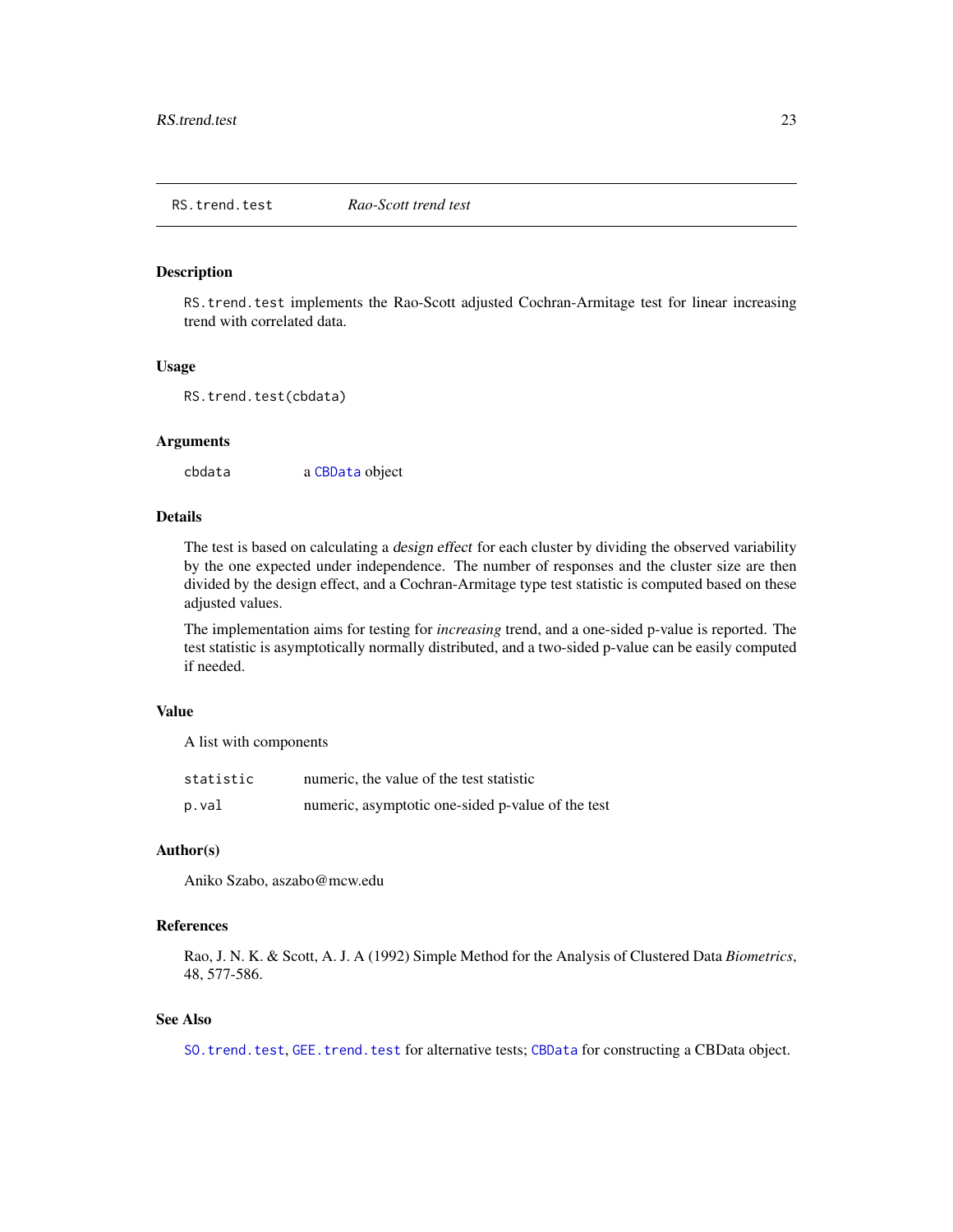<span id="page-22-1"></span><span id="page-22-0"></span>RS.trend.test implements the Rao-Scott adjusted Cochran-Armitage test for linear increasing trend with correlated data.

#### Usage

```
RS.trend.test(cbdata)
```
#### Arguments

cbdata a [CBData](#page-2-1) object

#### Details

The test is based on calculating a design effect for each cluster by dividing the observed variability by the one expected under independence. The number of responses and the cluster size are then divided by the design effect, and a Cochran-Armitage type test statistic is computed based on these adjusted values.

The implementation aims for testing for *increasing* trend, and a one-sided p-value is reported. The test statistic is asymptotically normally distributed, and a two-sided p-value can be easily computed if needed.

# Value

A list with components

| statistic | numeric, the value of the test statistic          |
|-----------|---------------------------------------------------|
| p.val     | numeric, asymptotic one-sided p-value of the test |

#### Author(s)

Aniko Szabo, aszabo@mcw.edu

# References

Rao, J. N. K. & Scott, A. J. A (1992) Simple Method for the Analysis of Clustered Data *Biometrics*, 48, 577-586.

# See Also

[SO.trend.test](#page-26-1), [GEE.trend.test](#page-7-1) for alternative tests; [CBData](#page-2-1) for constructing a CBData object.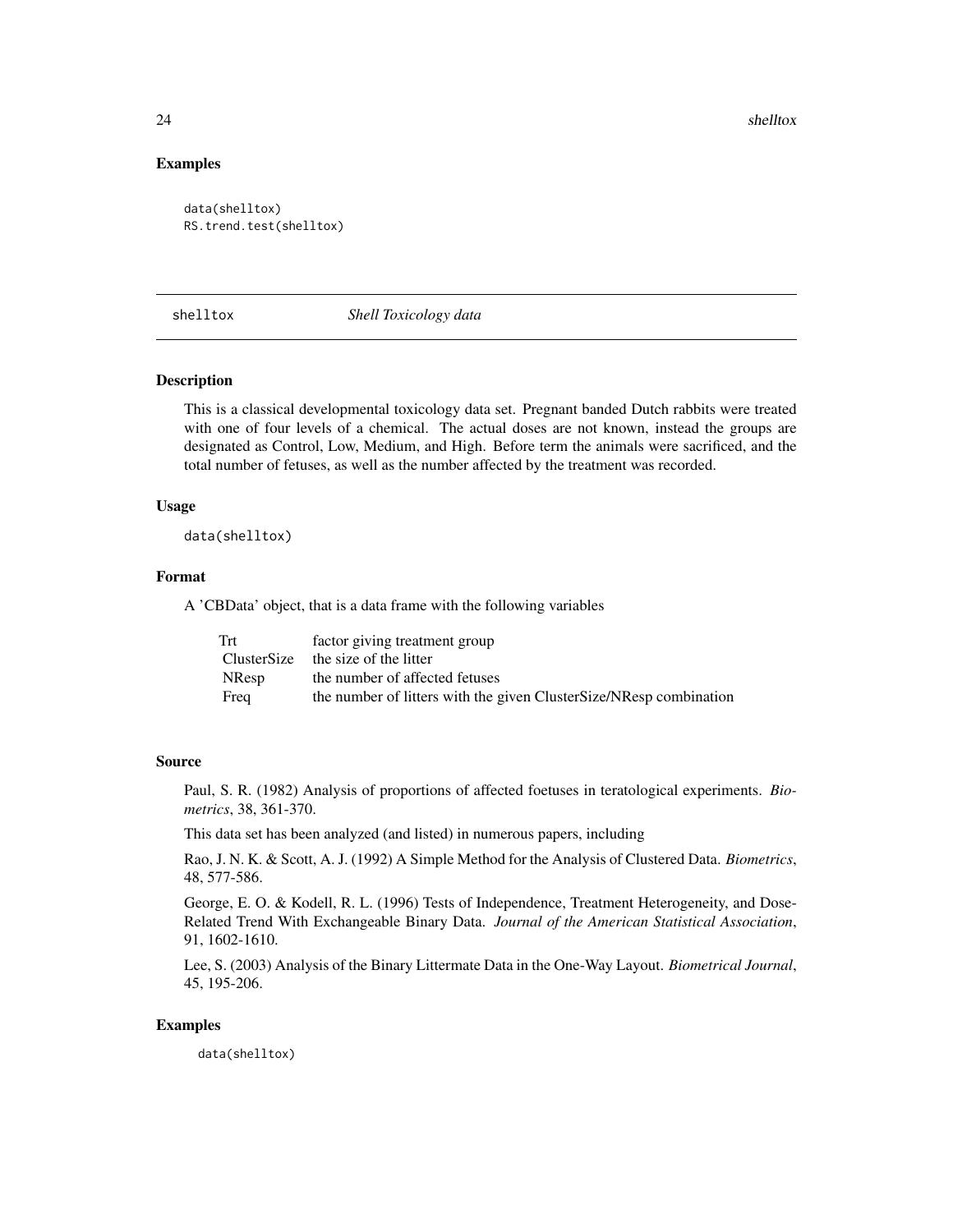<span id="page-23-0"></span>24 shelltox

#### Examples

```
data(shelltox)
RS.trend.test(shelltox)
```
shelltox *Shell Toxicology data*

#### Description

This is a classical developmental toxicology data set. Pregnant banded Dutch rabbits were treated with one of four levels of a chemical. The actual doses are not known, instead the groups are designated as Control, Low, Medium, and High. Before term the animals were sacrificed, and the total number of fetuses, as well as the number affected by the treatment was recorded.

# Usage

data(shelltox)

# Format

A 'CBData' object, that is a data frame with the following variables

| Trt          | factor giving treatment group                                      |
|--------------|--------------------------------------------------------------------|
|              | ClusterSize the size of the litter                                 |
| <b>NResp</b> | the number of affected fetuses                                     |
| Freq         | the number of litters with the given ClusterSize/NResp combination |

# Source

Paul, S. R. (1982) Analysis of proportions of affected foetuses in teratological experiments. *Biometrics*, 38, 361-370.

This data set has been analyzed (and listed) in numerous papers, including

Rao, J. N. K. & Scott, A. J. (1992) A Simple Method for the Analysis of Clustered Data. *Biometrics*, 48, 577-586.

George, E. O. & Kodell, R. L. (1996) Tests of Independence, Treatment Heterogeneity, and Dose-Related Trend With Exchangeable Binary Data. *Journal of the American Statistical Association*, 91, 1602-1610.

Lee, S. (2003) Analysis of the Binary Littermate Data in the One-Way Layout. *Biometrical Journal*, 45, 195-206.

#### Examples

data(shelltox)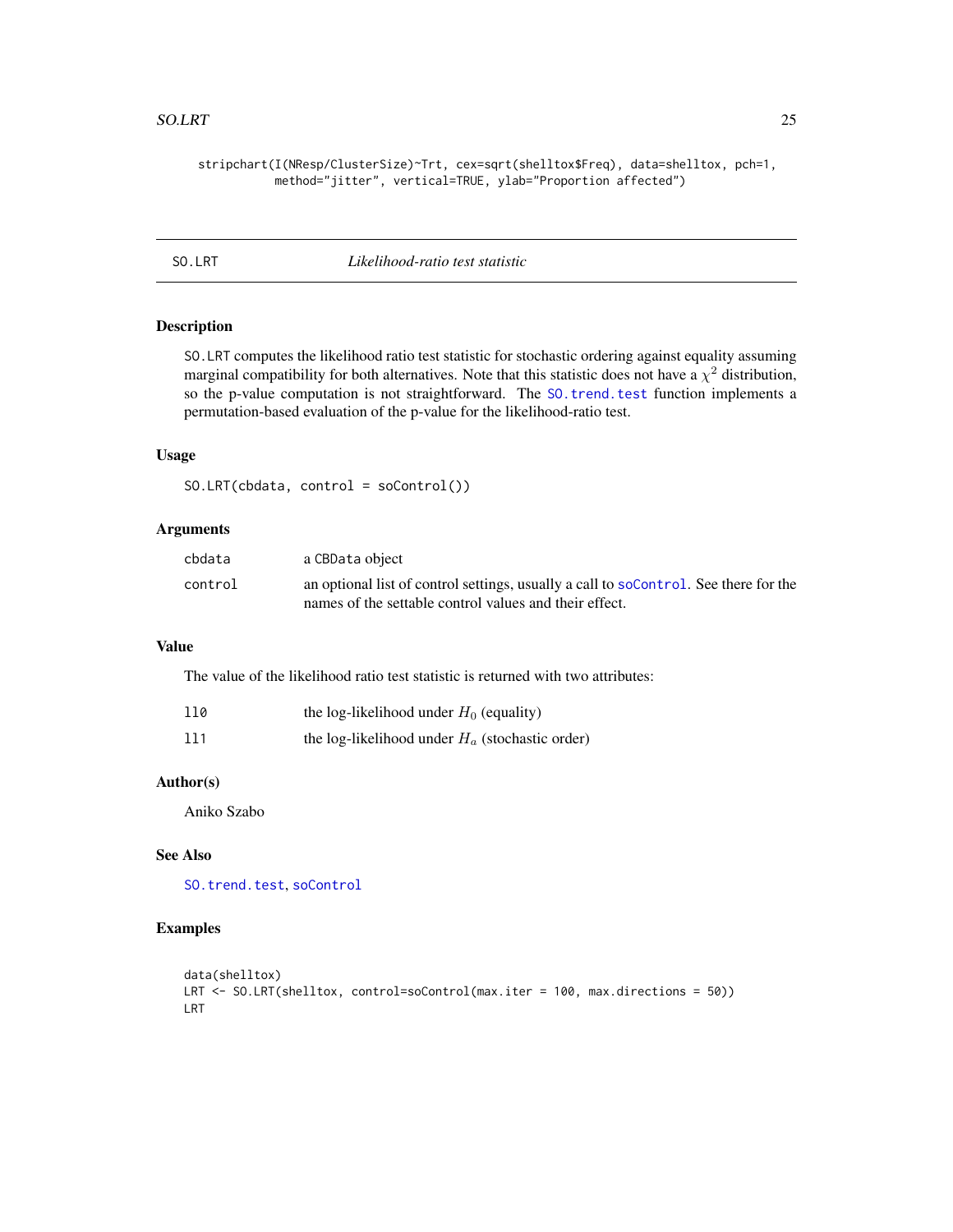#### <span id="page-24-0"></span>SO.LRT 25

stripchart(I(NResp/ClusterSize)~Trt, cex=sqrt(shelltox\$Freq), data=shelltox, pch=1, method="jitter", vertical=TRUE, ylab="Proportion affected")

<span id="page-24-1"></span>

SO.LRT *Likelihood-ratio test statistic*

#### Description

SO.LRT computes the likelihood ratio test statistic for stochastic ordering against equality assuming marginal compatibility for both alternatives. Note that this statistic does not have a  $\chi^2$  distribution, so the p-value computation is not straightforward. The S0.trend.test function implements a permutation-based evaluation of the p-value for the likelihood-ratio test.

#### Usage

SO.LRT(cbdata, control = soControl())

#### Arguments

| cbdata  | a CBData object                                                                      |
|---------|--------------------------------------------------------------------------------------|
| control | an optional list of control settings, usually a call to soControl. See there for the |
|         | names of the settable control values and their effect.                               |

#### Value

The value of the likelihood ratio test statistic is returned with two attributes:

| 110 | the log-likelihood under $H_0$ (equality)         |  |
|-----|---------------------------------------------------|--|
| 111 | the log-likelihood under $H_a$ (stochastic order) |  |

#### Author(s)

Aniko Szabo

# See Also

[SO.trend.test](#page-26-1), [soControl](#page-28-1)

# Examples

```
data(shelltox)
LRT <- SO.LRT(shelltox, control=soControl(max.iter = 100, max.directions = 50))
LRT
```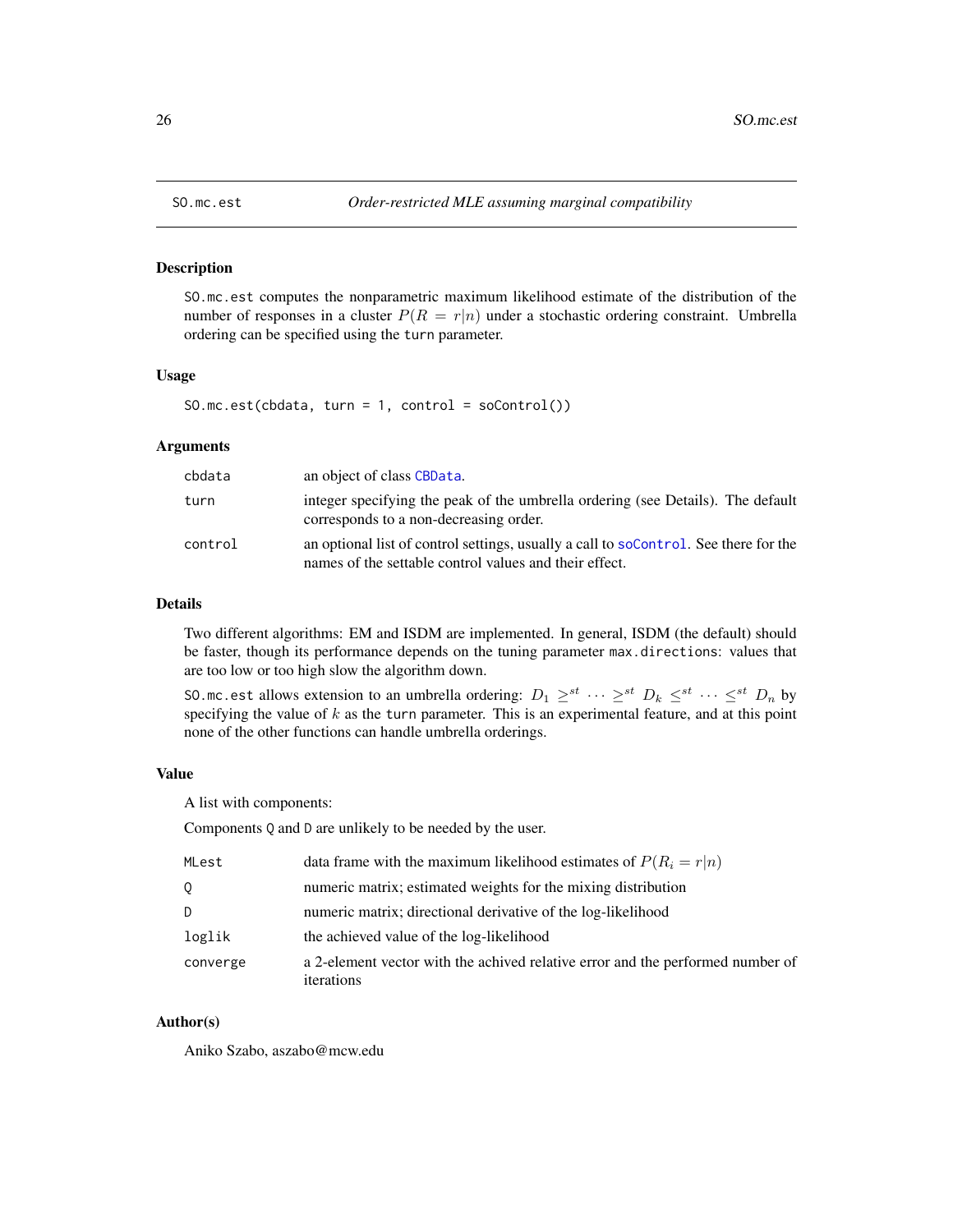SO.mc.est computes the nonparametric maximum likelihood estimate of the distribution of the number of responses in a cluster  $P(R = r|n)$  under a stochastic ordering constraint. Umbrella ordering can be specified using the turn parameter.

# Usage

SO.mc.est(cbdata, turn = 1, control =  $sochtrol()$ )

#### Arguments

| cbdata  | an object of class CBData.                                                                                                                     |
|---------|------------------------------------------------------------------------------------------------------------------------------------------------|
| turn    | integer specifying the peak of the umbrella ordering (see Details). The default<br>corresponds to a non-decreasing order.                      |
| control | an optional list of control settings, usually a call to soControl. See there for the<br>names of the settable control values and their effect. |

#### Details

Two different algorithms: EM and ISDM are implemented. In general, ISDM (the default) should be faster, though its performance depends on the tuning parameter max.directions: values that are too low or too high slow the algorithm down.

SO.mc.est allows extension to an umbrella ordering:  $D_1 \geq^{st} \cdots \geq^{st} D_k \leq^{st} \cdots \leq^{st} D_n$  by specifying the value of  $k$  as the turn parameter. This is an experimental feature, and at this point none of the other functions can handle umbrella orderings.

# Value

A list with components:

Components Q and D are unlikely to be needed by the user.

| MLest    | data frame with the maximum likelihood estimates of $P(R_i = r n)$                           |
|----------|----------------------------------------------------------------------------------------------|
| Q        | numeric matrix; estimated weights for the mixing distribution                                |
| D        | numeric matrix; directional derivative of the log-likelihood                                 |
| loglik   | the achieved value of the log-likelihood                                                     |
| converge | a 2-element vector with the achived relative error and the performed number of<br>iterations |

#### Author(s)

Aniko Szabo, aszabo@mcw.edu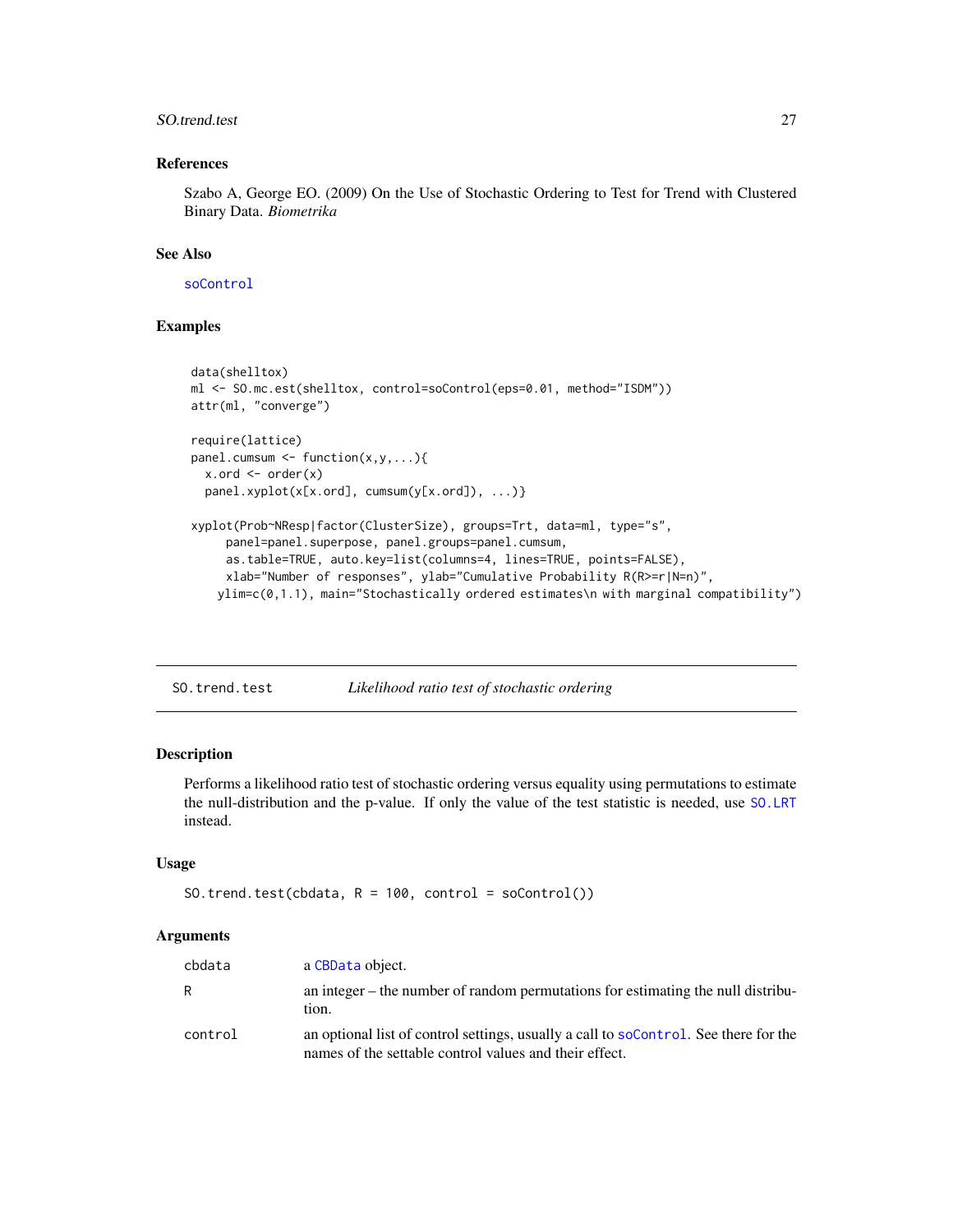#### <span id="page-26-0"></span>SO.trend.test 27

# References

Szabo A, George EO. (2009) On the Use of Stochastic Ordering to Test for Trend with Clustered Binary Data. *Biometrika*

#### See Also

[soControl](#page-28-1)

# Examples

```
data(shelltox)
ml <- SO.mc.est(shelltox, control=soControl(eps=0.01, method="ISDM"))
attr(ml, "converge")
require(lattice)
panel.cumsum \leq function(x,y,...){
 x.ord \leq order(x)panel.xyplot(x[x.ord], cumsum(y[x.ord]), ...)}
xyplot(Prob~NResp|factor(ClusterSize), groups=Trt, data=ml, type="s",
     panel=panel.superpose, panel.groups=panel.cumsum,
     as.table=TRUE, auto.key=list(columns=4, lines=TRUE, points=FALSE),
     xlab="Number of responses", ylab="Cumulative Probability R(R>=r|N=n)",
   ylim=c(0,1.1), main="Stochastically ordered estimates\n with marginal compatibility")
```

```
SO.trend.test Likelihood ratio test of stochastic ordering
```
#### **Description**

Performs a likelihood ratio test of stochastic ordering versus equality using permutations to estimate the null-distribution and the p-value. If only the value of the test statistic is needed, use [SO.LRT](#page-24-1) instead.

#### Usage

```
SO.trend.test(cbdata, R = 100, control = soControl())
```

| cbdata  | a CBData object.                                                                                                                               |
|---------|------------------------------------------------------------------------------------------------------------------------------------------------|
| R       | an integer – the number of random permutations for estimating the null distribu-<br>tion.                                                      |
| control | an optional list of control settings, usually a call to soControl. See there for the<br>names of the settable control values and their effect. |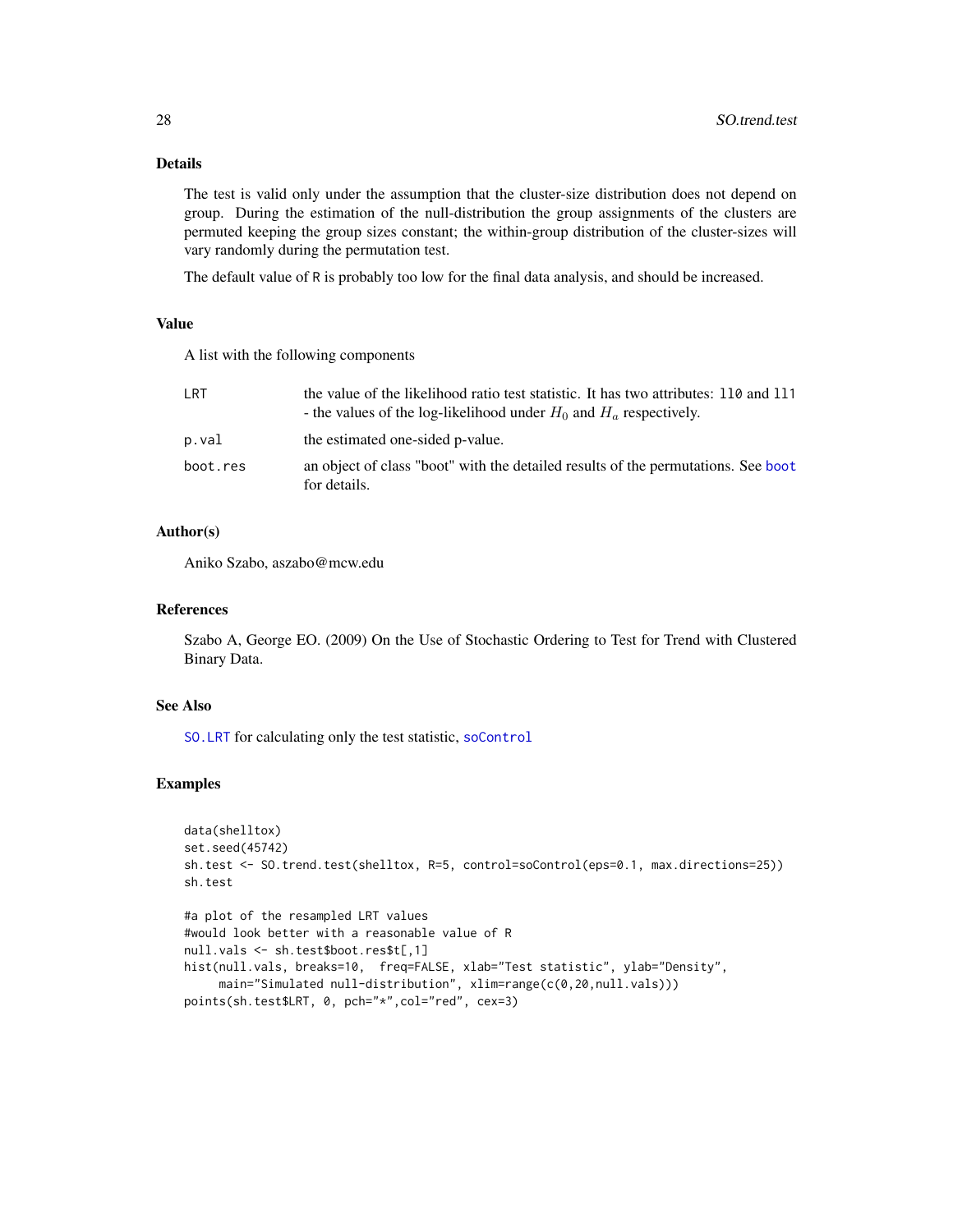# Details

The test is valid only under the assumption that the cluster-size distribution does not depend on group. During the estimation of the null-distribution the group assignments of the clusters are permuted keeping the group sizes constant; the within-group distribution of the cluster-sizes will vary randomly during the permutation test.

The default value of R is probably too low for the final data analysis, and should be increased.

#### Value

A list with the following components

| LRT      | the value of the likelihood ratio test statistic. It has two attributes: 110 and 111<br>- the values of the log-likelihood under $H_0$ and $H_a$ respectively. |
|----------|----------------------------------------------------------------------------------------------------------------------------------------------------------------|
| p.val    | the estimated one-sided p-value.                                                                                                                               |
| boot.res | an object of class "boot" with the detailed results of the permutations. See boot<br>for details.                                                              |

# Author(s)

Aniko Szabo, aszabo@mcw.edu

#### References

Szabo A, George EO. (2009) On the Use of Stochastic Ordering to Test for Trend with Clustered Binary Data.

#### See Also

[SO.LRT](#page-24-1) for calculating only the test statistic, [soControl](#page-28-1)

#### Examples

```
data(shelltox)
set.seed(45742)
sh.test <- SO.trend.test(shelltox, R=5, control=soControl(eps=0.1, max.directions=25))
sh.test
```

```
#a plot of the resampled LRT values
#would look better with a reasonable value of R
null.vals <- sh.test$boot.res$t[,1]
hist(null.vals, breaks=10, freq=FALSE, xlab="Test statistic", ylab="Density",
     main="Simulated null-distribution", xlim=range(c(0,20,null.vals)))
points(sh.test$LRT, 0, pch="*",col="red", cex=3)
```
<span id="page-27-0"></span>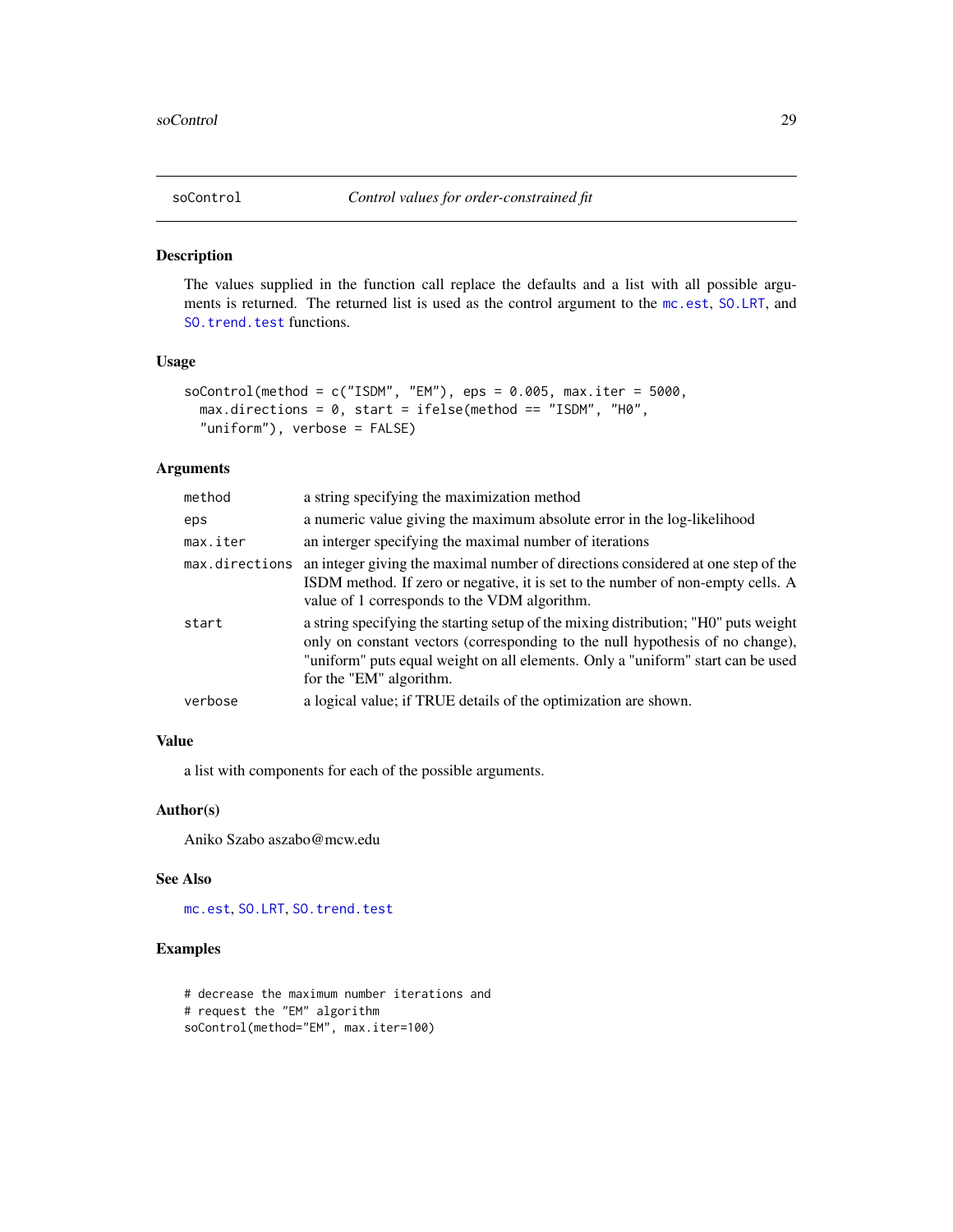<span id="page-28-1"></span><span id="page-28-0"></span>

The values supplied in the function call replace the defaults and a list with all possible arguments is returned. The returned list is used as the control argument to the [mc.est](#page-9-1), [SO.LRT](#page-24-1), and [SO.trend.test](#page-26-1) functions.

# Usage

```
soControl(method = c("ISDM", "EM"), eps = 0.005, max.iter = 5000,
 max.directions = 0, start = ifelse(method == "ISDM", "H0",
  "uniform"), verbose = FALSE)
```
#### Arguments

| method         | a string specifying the maximization method                                                                                                                                                                                                                                        |
|----------------|------------------------------------------------------------------------------------------------------------------------------------------------------------------------------------------------------------------------------------------------------------------------------------|
| eps            | a numeric value giving the maximum absolute error in the log-likelihood                                                                                                                                                                                                            |
| max.iter       | an interger specifying the maximal number of iterations                                                                                                                                                                                                                            |
| max.directions | an integer giving the maximal number of directions considered at one step of the<br>ISDM method. If zero or negative, it is set to the number of non-empty cells. A<br>value of 1 corresponds to the VDM algorithm.                                                                |
| start          | a string specifying the starting setup of the mixing distribution; "HO" puts weight<br>only on constant vectors (corresponding to the null hypothesis of no change),<br>"uniform" puts equal weight on all elements. Only a "uniform" start can be used<br>for the "EM" algorithm. |
| verbose        | a logical value; if TRUE details of the optimization are shown.                                                                                                                                                                                                                    |
|                |                                                                                                                                                                                                                                                                                    |

#### Value

a list with components for each of the possible arguments.

#### Author(s)

Aniko Szabo aszabo@mcw.edu

#### See Also

[mc.est](#page-9-1), [SO.LRT](#page-24-1), [SO.trend.test](#page-26-1)

# Examples

```
# decrease the maximum number iterations and
# request the "EM" algorithm
soControl(method="EM", max.iter=100)
```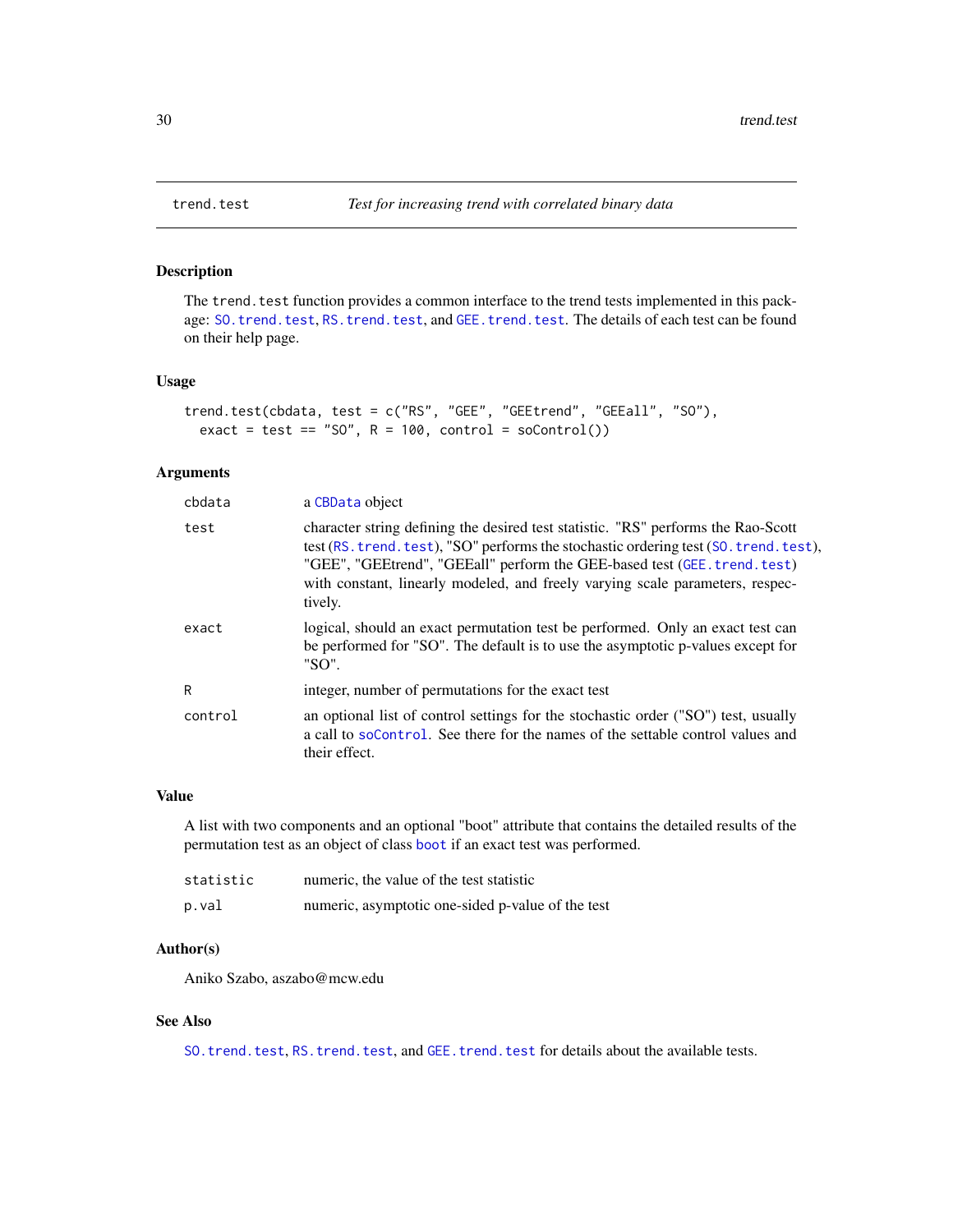<span id="page-29-1"></span><span id="page-29-0"></span>

The trend. test function provides a common interface to the trend tests implemented in this pack-age: [SO.trend.test](#page-26-1), [RS.trend.test](#page-22-1), and [GEE.trend.test](#page-7-1). The details of each test can be found on their help page.

#### Usage

trend.test(cbdata, test = c("RS", "GEE", "GEEtrend", "GEEall", "SO"), exact = test == "SO",  $R = 100$ , control = soControl())

# Arguments

| cbdata  | a CBData object                                                                                                                                                                                                                                                                                                                                     |
|---------|-----------------------------------------------------------------------------------------------------------------------------------------------------------------------------------------------------------------------------------------------------------------------------------------------------------------------------------------------------|
| test    | character string defining the desired test statistic. "RS" performs the Rao-Scott<br>test (RS, trend, test), "SO" performs the stochastic ordering test (SO, trend, test),<br>"GEE", "GEEtrend", "GEEall" perform the GEE-based test (GEE. trend. test)<br>with constant, linearly modeled, and freely varying scale parameters, respec-<br>tively. |
| exact   | logical, should an exact permutation test be performed. Only an exact test can<br>be performed for "SO". The default is to use the asymptotic p-values except for<br>"SO".                                                                                                                                                                          |
| R       | integer, number of permutations for the exact test                                                                                                                                                                                                                                                                                                  |
| control | an optional list of control settings for the stochastic order ("SO") test, usually<br>a call to soControl. See there for the names of the settable control values and<br>their effect.                                                                                                                                                              |

# Value

A list with two components and an optional "boot" attribute that contains the detailed results of the permutation test as an object of class [boot](#page-0-0) if an exact test was performed.

| statistic | numeric, the value of the test statistic          |
|-----------|---------------------------------------------------|
| p.val     | numeric, asymptotic one-sided p-value of the test |

# Author(s)

Aniko Szabo, aszabo@mcw.edu

#### See Also

[SO.trend.test](#page-26-1), [RS.trend.test](#page-22-1), and [GEE.trend.test](#page-7-1) for details about the available tests.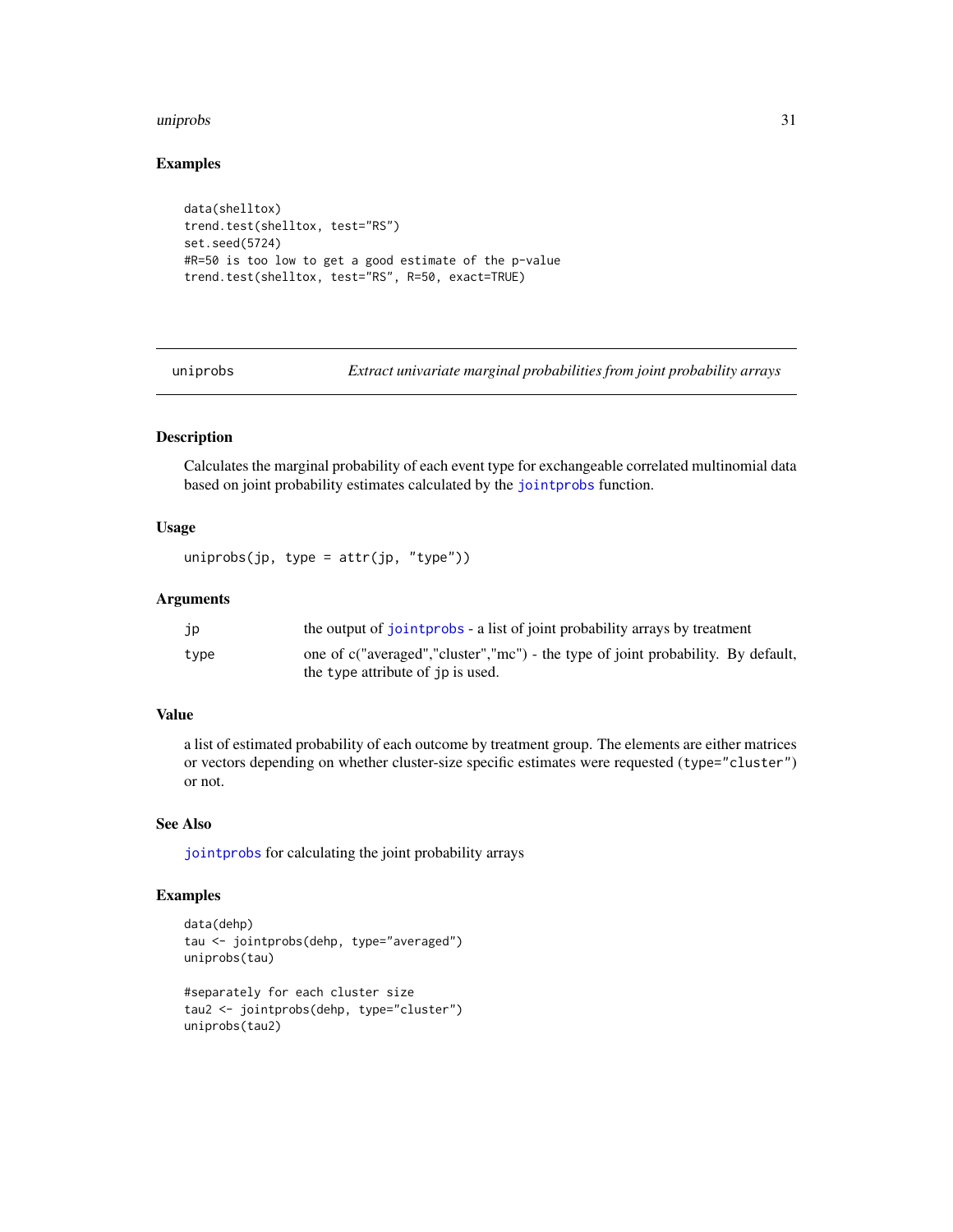#### <span id="page-30-0"></span>uniprobs 31

#### Examples

```
data(shelltox)
trend.test(shelltox, test="RS")
set.seed(5724)
#R=50 is too low to get a good estimate of the p-value
trend.test(shelltox, test="RS", R=50, exact=TRUE)
```
<span id="page-30-1"></span>uniprobs *Extract univariate marginal probabilities from joint probability arrays*

# Description

Calculates the marginal probability of each event type for exchangeable correlated multinomial data based on joint probability estimates calculated by the [jointprobs](#page-8-1) function.

#### Usage

```
uniprobs(jp, type = attr(jp, "type"))
```
# Arguments

| jp   | the output of joint probability arrays by treatment                              |
|------|----------------------------------------------------------------------------------|
| type | one of c("averaged","cluster","mc") - the type of joint probability. By default, |
|      | the type attribute of ip is used.                                                |

#### Value

a list of estimated probability of each outcome by treatment group. The elements are either matrices or vectors depending on whether cluster-size specific estimates were requested (type="cluster") or not.

#### See Also

[jointprobs](#page-8-1) for calculating the joint probability arrays

# Examples

```
data(dehp)
tau <- jointprobs(dehp, type="averaged")
uniprobs(tau)
#separately for each cluster size
tau2 <- jointprobs(dehp, type="cluster")
uniprobs(tau2)
```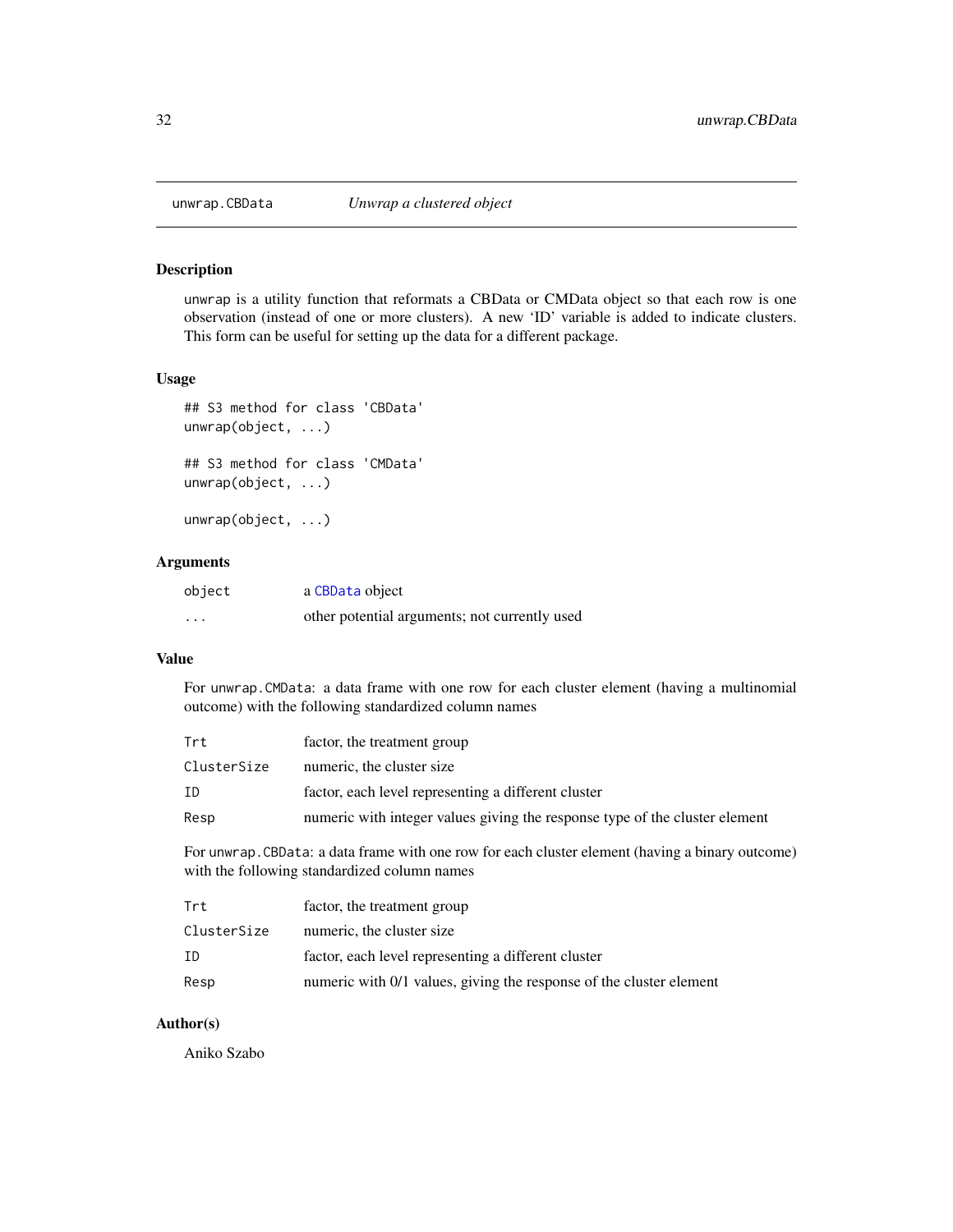<span id="page-31-0"></span>

unwrap is a utility function that reformats a CBData or CMData object so that each row is one observation (instead of one or more clusters). A new 'ID' variable is added to indicate clusters. This form can be useful for setting up the data for a different package.

#### Usage

```
## S3 method for class 'CBData'
unwrap(object, ...)
## S3 method for class 'CMData'
unwrap(object, ...)
```
unwrap(object, ...)

#### Arguments

| object   | a CBData object                               |
|----------|-----------------------------------------------|
| $\cdots$ | other potential arguments; not currently used |

# Value

For unwrap.CMData: a data frame with one row for each cluster element (having a multinomial outcome) with the following standardized column names

| Trt         | factor, the treatment group                                                 |
|-------------|-----------------------------------------------------------------------------|
| ClusterSize | numeric, the cluster size                                                   |
| ΙD          | factor, each level representing a different cluster                         |
| Resp        | numeric with integer values giving the response type of the cluster element |
|             |                                                                             |

For unwrap.CBData: a data frame with one row for each cluster element (having a binary outcome) with the following standardized column names

| Trt         | factor, the treatment group                                         |
|-------------|---------------------------------------------------------------------|
| ClusterSize | numeric, the cluster size                                           |
| ΙD          | factor, each level representing a different cluster                 |
| Resp        | numeric with 0/1 values, giving the response of the cluster element |

# Author(s)

Aniko Szabo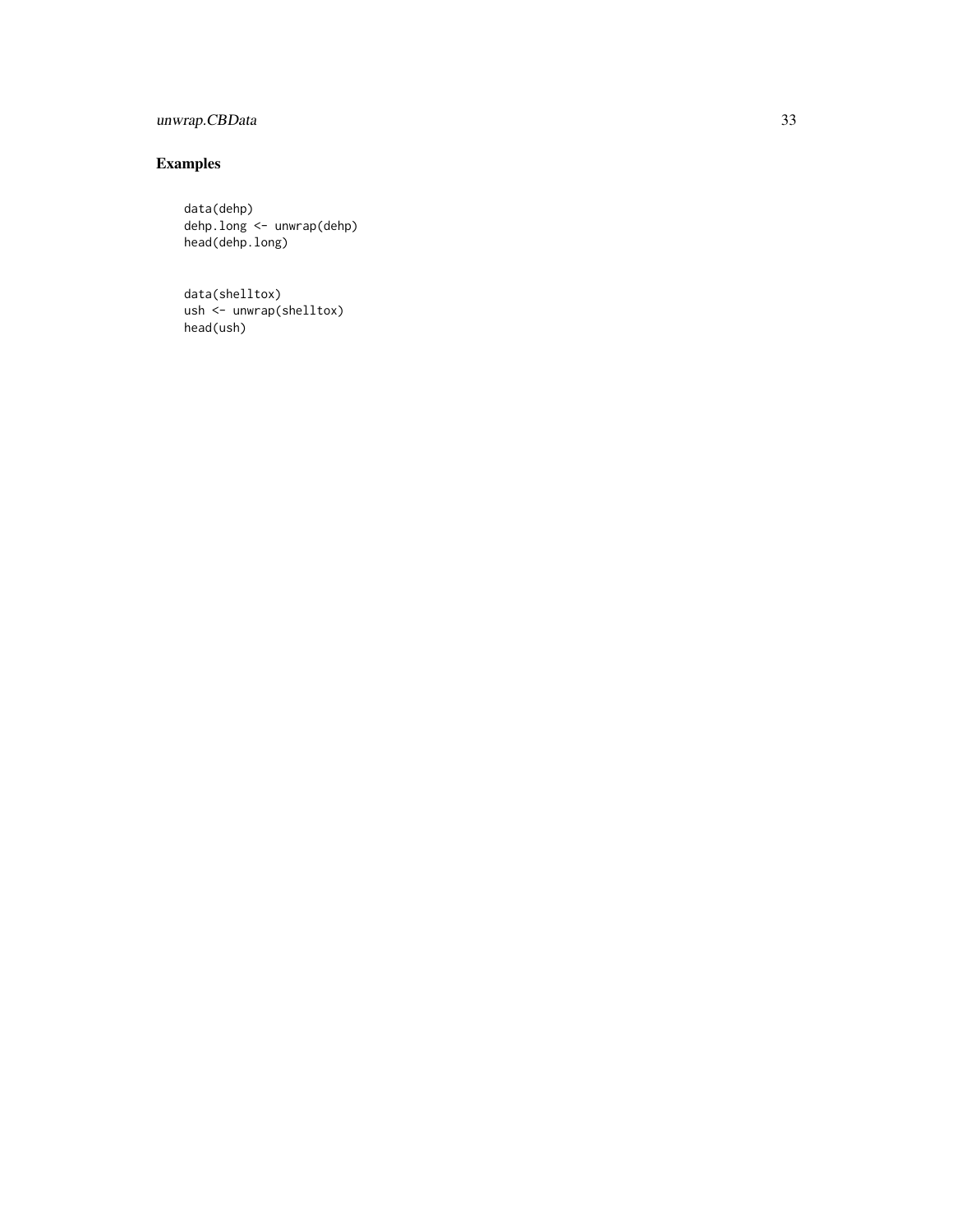# unwrap.CBData 33

# Examples

data(dehp) dehp.long <- unwrap(dehp) head(dehp.long)

data(shelltox) ush <- unwrap(shelltox) head(ush)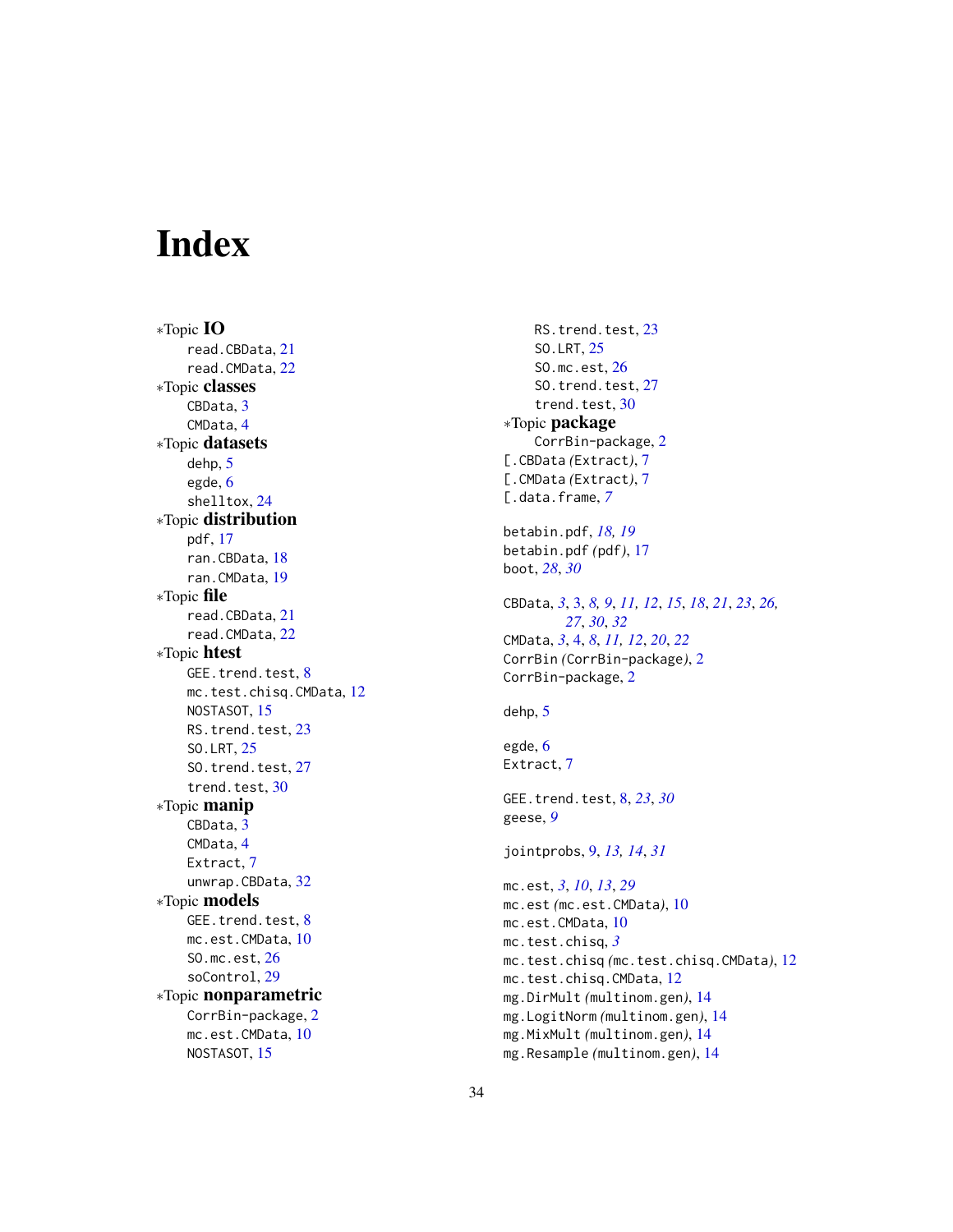# <span id="page-33-0"></span>Index

∗Topic IO read.CBData, [21](#page-20-0) read.CMData, [22](#page-21-0) ∗Topic classes CBData, [3](#page-2-0) CMData, [4](#page-3-0) ∗Topic datasets dehp, [5](#page-4-0) egde, [6](#page-5-0) shelltox, [24](#page-23-0) ∗Topic distribution pdf, [17](#page-16-0) ran.CBData, [18](#page-17-0) ran.CMData, [19](#page-18-0) ∗Topic file read.CBData, [21](#page-20-0) read.CMData, [22](#page-21-0) ∗Topic htest GEE.trend.test, [8](#page-7-0) mc.test.chisq.CMData, [12](#page-11-0) NOSTASOT, [15](#page-14-0) RS.trend.test, [23](#page-22-0) SO.LRT, [25](#page-24-0) SO.trend.test, [27](#page-26-0) trend.test, [30](#page-29-0) ∗Topic manip CBData, [3](#page-2-0) CMData, [4](#page-3-0) Extract, [7](#page-6-0) unwrap.CBData, [32](#page-31-0) ∗Topic models GEE.trend.test, [8](#page-7-0) mc.est.CMData, [10](#page-9-0) SO.mc.est, [26](#page-25-0) soControl, [29](#page-28-0) ∗Topic nonparametric CorrBin-package, [2](#page-1-0) mc.est.CMData, [10](#page-9-0) NOSTASOT, [15](#page-14-0)

RS.trend.test, [23](#page-22-0) SO.LRT, [25](#page-24-0) SO.mc.est, [26](#page-25-0) SO.trend.test, [27](#page-26-0) trend.test, [30](#page-29-0) ∗Topic package CorrBin-package, [2](#page-1-0) [.CBData *(*Extract*)*, [7](#page-6-0) [.CMData *(*Extract*)*, [7](#page-6-0) [.data.frame, *[7](#page-6-0)* betabin.pdf, *[18,](#page-17-0) [19](#page-18-0)* betabin.pdf *(*pdf*)*, [17](#page-16-0) boot, *[28](#page-27-0)*, *[30](#page-29-0)* CBData, *[3](#page-2-0)*, [3,](#page-2-0) *[8,](#page-7-0) [9](#page-8-0)*, *[11,](#page-10-0) [12](#page-11-0)*, *[15](#page-14-0)*, *[18](#page-17-0)*, *[21](#page-20-0)*, *[23](#page-22-0)*, *[26,](#page-25-0) [27](#page-26-0)*, *[30](#page-29-0)*, *[32](#page-31-0)* CMData, *[3](#page-2-0)*, [4,](#page-3-0) *[8](#page-7-0)*, *[11,](#page-10-0) [12](#page-11-0)*, *[20](#page-19-0)*, *[22](#page-21-0)* CorrBin *(*CorrBin-package*)*, [2](#page-1-0) CorrBin-package, [2](#page-1-0) dehp, [5](#page-4-0) egde, [6](#page-5-0) Extract, [7](#page-6-0) GEE.trend.test, [8,](#page-7-0) *[23](#page-22-0)*, *[30](#page-29-0)* geese, *[9](#page-8-0)* jointprobs, [9,](#page-8-0) *[13,](#page-12-0) [14](#page-13-0)*, *[31](#page-30-0)* mc.est, *[3](#page-2-0)*, *[10](#page-9-0)*, *[13](#page-12-0)*, *[29](#page-28-0)* mc.est *(*mc.est.CMData*)*, [10](#page-9-0) mc.est.CMData, [10](#page-9-0) mc.test.chisq, *[3](#page-2-0)* mc.test.chisq *(*mc.test.chisq.CMData*)*, [12](#page-11-0) mc.test.chisq.CMData, [12](#page-11-0) mg.DirMult *(*multinom.gen*)*, [14](#page-13-0) mg.LogitNorm *(*multinom.gen*)*, [14](#page-13-0) mg.MixMult *(*multinom.gen*)*, [14](#page-13-0) mg.Resample *(*multinom.gen*)*, [14](#page-13-0)